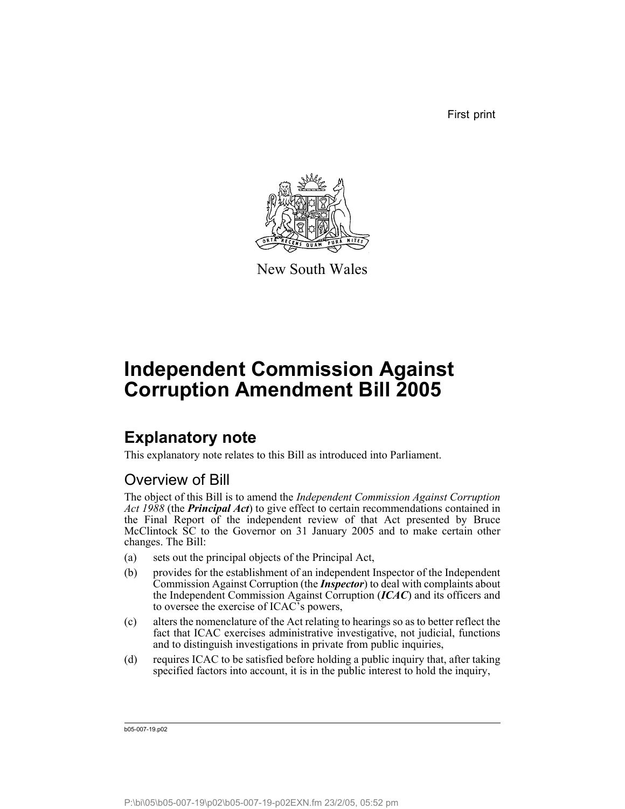First print



New South Wales

# **Independent Commission Against Corruption Amendment Bill 2005**

# **Explanatory note**

This explanatory note relates to this Bill as introduced into Parliament.

# Overview of Bill

The object of this Bill is to amend the *Independent Commission Against Corruption Act 1988* (the *Principal Act*) to give effect to certain recommendations contained in the Final Report of the independent review of that Act presented by Bruce McClintock SC to the Governor on 31 January 2005 and to make certain other changes. The Bill:

- (a) sets out the principal objects of the Principal Act,
- (b) provides for the establishment of an independent Inspector of the Independent Commission Against Corruption (the *Inspector*) to deal with complaints about the Independent Commission Against Corruption (*ICAC*) and its officers and to oversee the exercise of ICAC's powers,
- (c) alters the nomenclature of the Act relating to hearings so as to better reflect the fact that ICAC exercises administrative investigative, not judicial, functions and to distinguish investigations in private from public inquiries,
- (d) requires ICAC to be satisfied before holding a public inquiry that, after taking specified factors into account, it is in the public interest to hold the inquiry,

b05-007-19.p02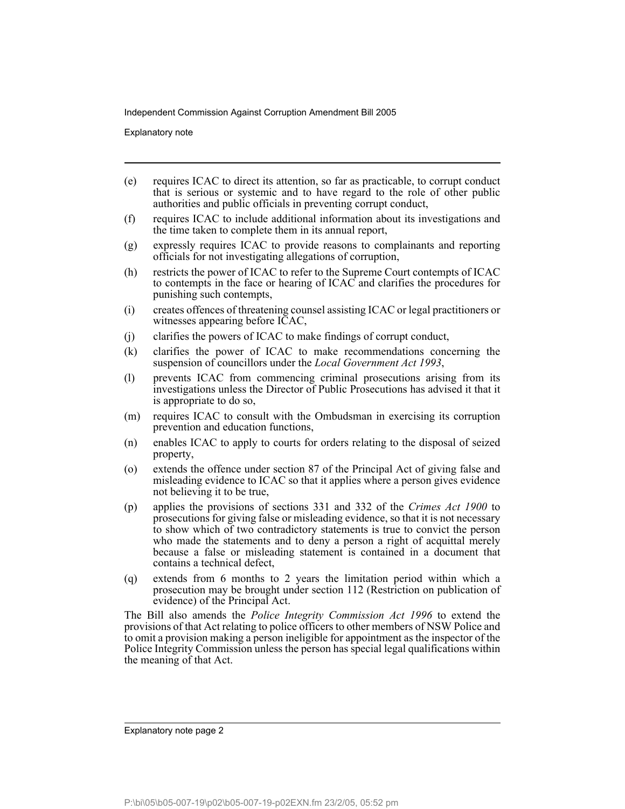Explanatory note

- (e) requires ICAC to direct its attention, so far as practicable, to corrupt conduct that is serious or systemic and to have regard to the role of other public authorities and public officials in preventing corrupt conduct,
- (f) requires ICAC to include additional information about its investigations and the time taken to complete them in its annual report,
- (g) expressly requires ICAC to provide reasons to complainants and reporting officials for not investigating allegations of corruption,
- (h) restricts the power of ICAC to refer to the Supreme Court contempts of ICAC to contempts in the face or hearing of ICAC and clarifies the procedures for punishing such contempts,
- (i) creates offences of threatening counsel assisting ICAC or legal practitioners or witnesses appearing before ICAC,
- (j) clarifies the powers of ICAC to make findings of corrupt conduct,
- (k) clarifies the power of ICAC to make recommendations concerning the suspension of councillors under the *Local Government Act 1993*,
- (l) prevents ICAC from commencing criminal prosecutions arising from its investigations unless the Director of Public Prosecutions has advised it that it is appropriate to do so,
- (m) requires ICAC to consult with the Ombudsman in exercising its corruption prevention and education functions,
- (n) enables ICAC to apply to courts for orders relating to the disposal of seized property,
- (o) extends the offence under section 87 of the Principal Act of giving false and misleading evidence to ICAC so that it applies where a person gives evidence not believing it to be true,
- (p) applies the provisions of sections 331 and 332 of the *Crimes Act 1900* to prosecutions for giving false or misleading evidence, so that it is not necessary to show which of two contradictory statements is true to convict the person who made the statements and to deny a person a right of acquittal merely because a false or misleading statement is contained in a document that contains a technical defect,
- (q) extends from 6 months to 2 years the limitation period within which a prosecution may be brought under section 112 (Restriction on publication of evidence) of the Principal Act.

The Bill also amends the *Police Integrity Commission Act 1996* to extend the provisions of that Act relating to police officers to other members of NSW Police and to omit a provision making a person ineligible for appointment as the inspector of the Police Integrity Commission unless the person has special legal qualifications within the meaning of that Act.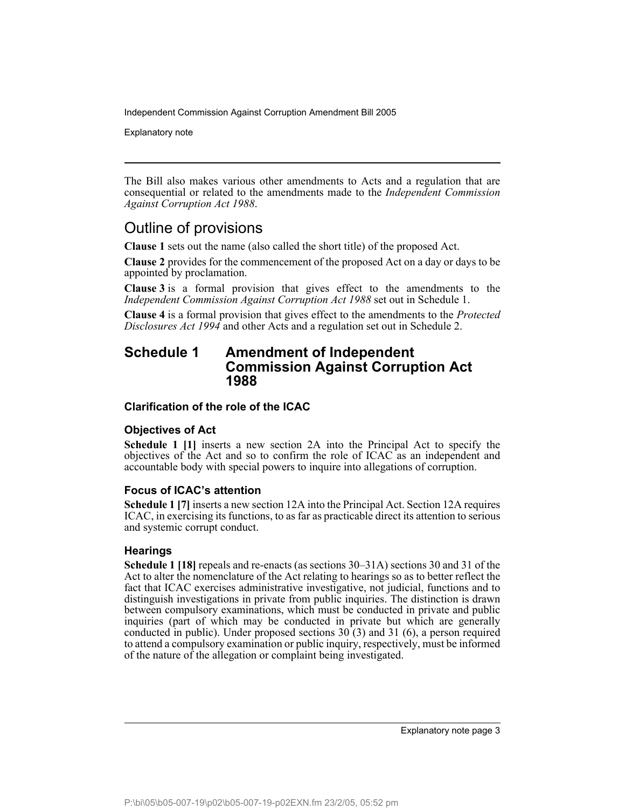Explanatory note

The Bill also makes various other amendments to Acts and a regulation that are consequential or related to the amendments made to the *Independent Commission Against Corruption Act 1988*.

# Outline of provisions

**Clause 1** sets out the name (also called the short title) of the proposed Act.

**Clause 2** provides for the commencement of the proposed Act on a day or days to be appointed by proclamation.

**Clause 3** is a formal provision that gives effect to the amendments to the *Independent Commission Against Corruption Act 1988* set out in Schedule 1.

**Clause 4** is a formal provision that gives effect to the amendments to the *Protected Disclosures Act 1994* and other Acts and a regulation set out in Schedule 2.

# **Schedule 1 Amendment of Independent Commission Against Corruption Act 1988**

### **Clarification of the role of the ICAC**

### **Objectives of Act**

**Schedule 1 [1]** inserts a new section 2A into the Principal Act to specify the objectives of the Act and so to confirm the role of ICAC as an independent and accountable body with special powers to inquire into allegations of corruption.

### **Focus of ICAC's attention**

**Schedule 1 [7]** inserts a new section 12A into the Principal Act. Section 12A requires ICAC, in exercising its functions, to as far as practicable direct its attention to serious and systemic corrupt conduct.

### **Hearings**

**Schedule 1 [18]** repeals and re-enacts (as sections 30–31A) sections 30 and 31 of the Act to alter the nomenclature of the Act relating to hearings so as to better reflect the fact that ICAC exercises administrative investigative, not judicial, functions and to distinguish investigations in private from public inquiries. The distinction is drawn between compulsory examinations, which must be conducted in private and public inquiries (part of which may be conducted in private but which are generally conducted in public). Under proposed sections  $30(3)$  and  $31(6)$ , a person required to attend a compulsory examination or public inquiry, respectively, must be informed of the nature of the allegation or complaint being investigated.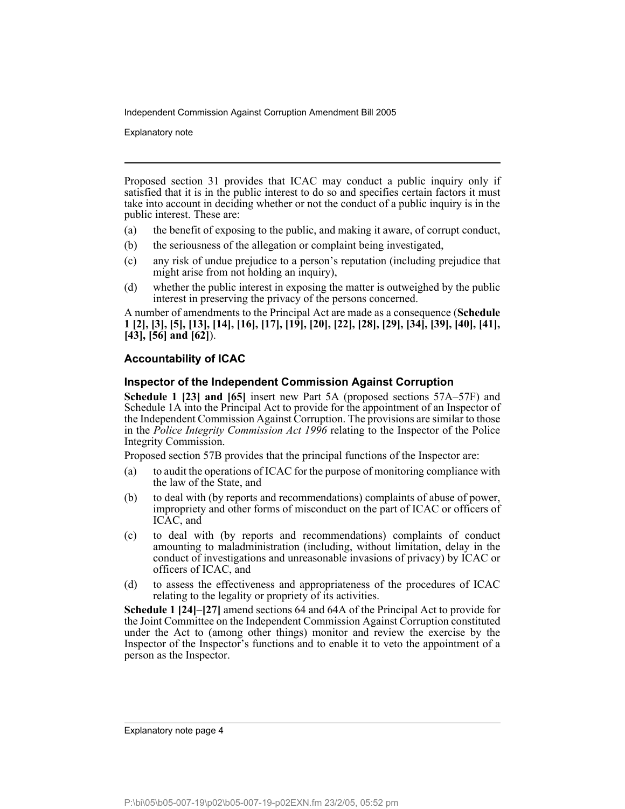Explanatory note

Proposed section 31 provides that ICAC may conduct a public inquiry only if satisfied that it is in the public interest to do so and specifies certain factors it must take into account in deciding whether or not the conduct of a public inquiry is in the public interest. These are:

- (a) the benefit of exposing to the public, and making it aware, of corrupt conduct,
- (b) the seriousness of the allegation or complaint being investigated,
- (c) any risk of undue prejudice to a person's reputation (including prejudice that might arise from not holding an inquiry),
- (d) whether the public interest in exposing the matter is outweighed by the public interest in preserving the privacy of the persons concerned.

A number of amendments to the Principal Act are made as a consequence (**Schedule 1 [2], [3], [5], [13], [14], [16], [17], [19], [20], [22], [28], [29], [34], [39], [40], [41], [43], [56] and [62]**).

# **Accountability of ICAC**

### **Inspector of the Independent Commission Against Corruption**

**Schedule 1 [23] and [65]** insert new Part 5A (proposed sections 57A–57F) and Schedule 1A into the Principal Act to provide for the appointment of an Inspector of the Independent Commission Against Corruption. The provisions are similar to those in the *Police Integrity Commission Act 1996* relating to the Inspector of the Police Integrity Commission.

Proposed section 57B provides that the principal functions of the Inspector are:

- (a) to audit the operations of ICAC for the purpose of monitoring compliance with the law of the State, and
- (b) to deal with (by reports and recommendations) complaints of abuse of power, impropriety and other forms of misconduct on the part of ICAC or officers of ICAC, and
- (c) to deal with (by reports and recommendations) complaints of conduct amounting to maladministration (including, without limitation, delay in the conduct of investigations and unreasonable invasions of privacy) by ICAC or officers of ICAC, and
- (d) to assess the effectiveness and appropriateness of the procedures of ICAC relating to the legality or propriety of its activities.

**Schedule 1 [24]–[27]** amend sections 64 and 64A of the Principal Act to provide for the Joint Committee on the Independent Commission Against Corruption constituted under the Act to (among other things) monitor and review the exercise by the Inspector of the Inspector's functions and to enable it to veto the appointment of a person as the Inspector.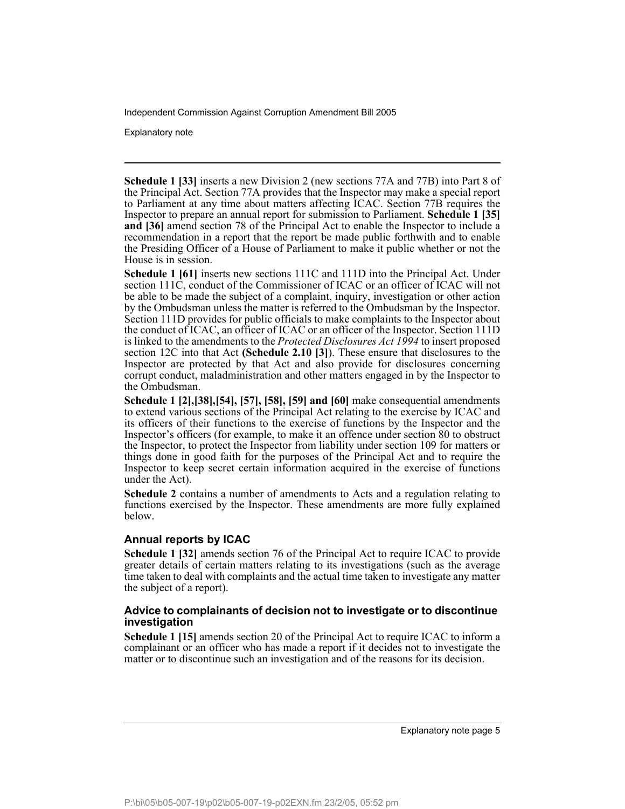Explanatory note

**Schedule 1 [33]** inserts a new Division 2 (new sections 77A and 77B) into Part 8 of the Principal Act. Section 77A provides that the Inspector may make a special report to Parliament at any time about matters affecting ICAC. Section 77B requires the Inspector to prepare an annual report for submission to Parliament. **Schedule 1 [35] and [36]** amend section 78 of the Principal Act to enable the Inspector to include a recommendation in a report that the report be made public forthwith and to enable the Presiding Officer of a House of Parliament to make it public whether or not the House is in session.

**Schedule 1 [61]** inserts new sections 111C and 111D into the Principal Act. Under section 111C, conduct of the Commissioner of ICAC or an officer of ICAC will not be able to be made the subject of a complaint, inquiry, investigation or other action by the Ombudsman unless the matter is referred to the Ombudsman by the Inspector. Section 111D provides for public officials to make complaints to the Inspector about the conduct of ICAC, an officer of ICAC or an officer of the Inspector. Section 111D is linked to the amendments to the *Protected Disclosures Act 1994* to insert proposed section 12C into that Act **(Schedule 2.10 [3]**). These ensure that disclosures to the Inspector are protected by that Act and also provide for disclosures concerning corrupt conduct, maladministration and other matters engaged in by the Inspector to the Ombudsman.

**Schedule 1 [2],[38],[54], [57], [58], [59] and [60]** make consequential amendments to extend various sections of the Principal Act relating to the exercise by ICAC and its officers of their functions to the exercise of functions by the Inspector and the Inspector's officers (for example, to make it an offence under section 80 to obstruct the Inspector, to protect the Inspector from liability under section 109 for matters or things done in good faith for the purposes of the Principal Act and to require the Inspector to keep secret certain information acquired in the exercise of functions under the Act).

**Schedule 2** contains a number of amendments to Acts and a regulation relating to functions exercised by the Inspector. These amendments are more fully explained below.

### **Annual reports by ICAC**

**Schedule 1 [32]** amends section 76 of the Principal Act to require ICAC to provide greater details of certain matters relating to its investigations (such as the average time taken to deal with complaints and the actual time taken to investigate any matter the subject of a report).

### **Advice to complainants of decision not to investigate or to discontinue investigation**

**Schedule 1 [15]** amends section 20 of the Principal Act to require ICAC to inform a complainant or an officer who has made a report if it decides not to investigate the matter or to discontinue such an investigation and of the reasons for its decision.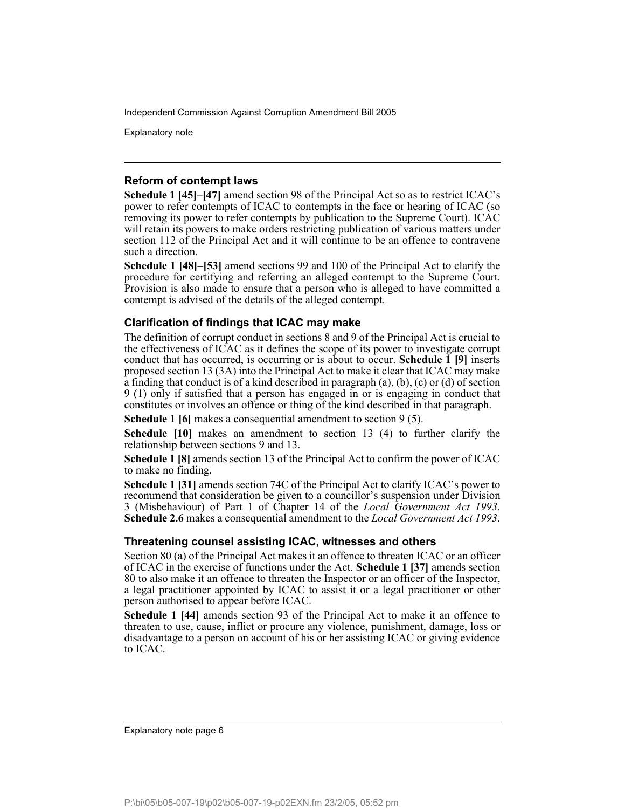Explanatory note

### **Reform of contempt laws**

**Schedule 1 [45]–[47]** amend section 98 of the Principal Act so as to restrict ICAC's power to refer contempts of ICAC to contempts in the face or hearing of ICAC (so removing its power to refer contempts by publication to the Supreme Court). ICAC will retain its powers to make orders restricting publication of various matters under section 112 of the Principal Act and it will continue to be an offence to contravene such a direction.

**Schedule 1 [48]–[53]** amend sections 99 and 100 of the Principal Act to clarify the procedure for certifying and referring an alleged contempt to the Supreme Court. Provision is also made to ensure that a person who is alleged to have committed a contempt is advised of the details of the alleged contempt.

## **Clarification of findings that ICAC may make**

The definition of corrupt conduct in sections 8 and 9 of the Principal Act is crucial to the effectiveness of ICAC as it defines the scope of its power to investigate corrupt conduct that has occurred, is occurring or is about to occur. **Schedule 1 [9]** inserts proposed section 13 (3A) into the Principal Act to make it clear that ICAC may make a finding that conduct is of a kind described in paragraph (a), (b), (c) or (d) of section 9 (1) only if satisfied that a person has engaged in or is engaging in conduct that constitutes or involves an offence or thing of the kind described in that paragraph.

**Schedule 1 [6]** makes a consequential amendment to section 9 (5).

**Schedule [10]** makes an amendment to section 13 (4) to further clarify the relationship between sections 9 and 13.

**Schedule 1 [8]** amends section 13 of the Principal Act to confirm the power of ICAC to make no finding.

**Schedule 1 [31]** amends section 74C of the Principal Act to clarify ICAC's power to recommend that consideration be given to a councillor's suspension under Division 3 (Misbehaviour) of Part 1 of Chapter 14 of the *Local Government Act 1993*. **Schedule 2.6** makes a consequential amendment to the *Local Government Act 1993*.

## **Threatening counsel assisting ICAC, witnesses and others**

Section 80 (a) of the Principal Act makes it an offence to threaten ICAC or an officer of ICAC in the exercise of functions under the Act. **Schedule 1 [37]** amends section 80 to also make it an offence to threaten the Inspector or an officer of the Inspector, a legal practitioner appointed by ICAC to assist it or a legal practitioner or other person authorised to appear before ICAC.

**Schedule 1 [44]** amends section 93 of the Principal Act to make it an offence to threaten to use, cause, inflict or procure any violence, punishment, damage, loss or disadvantage to a person on account of his or her assisting ICAC or giving evidence to ICAC.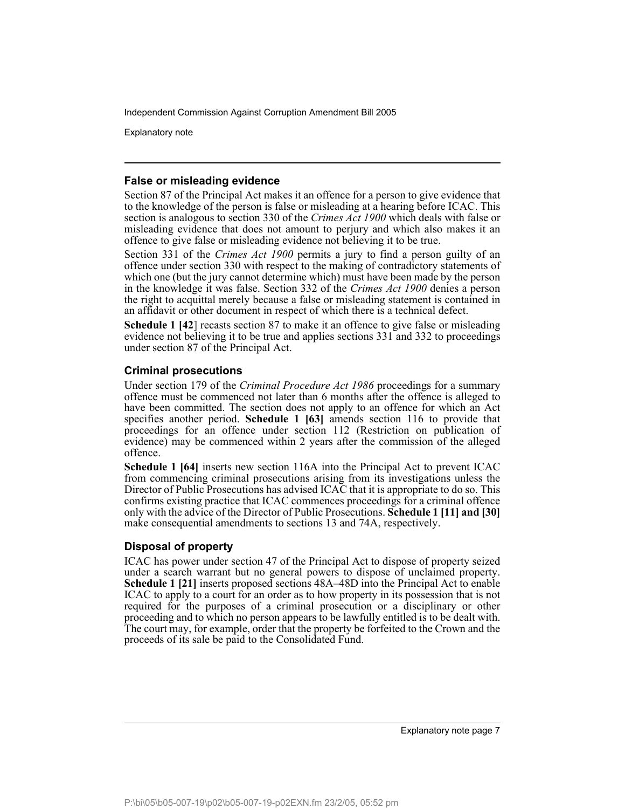Explanatory note

### **False or misleading evidence**

Section 87 of the Principal Act makes it an offence for a person to give evidence that to the knowledge of the person is false or misleading at a hearing before ICAC. This section is analogous to section 330 of the *Crimes Act 1900* which deals with false or misleading evidence that does not amount to perjury and which also makes it an offence to give false or misleading evidence not believing it to be true.

Section 331 of the *Crimes Act 1900* permits a jury to find a person guilty of an offence under section 330 with respect to the making of contradictory statements of which one (but the jury cannot determine which) must have been made by the person in the knowledge it was false. Section 332 of the *Crimes Act 1900* denies a person the right to acquittal merely because a false or misleading statement is contained in an affidavit or other document in respect of which there is a technical defect.

**Schedule 1 [42**] recasts section 87 to make it an offence to give false or misleading evidence not believing it to be true and applies sections 331 and 332 to proceedings under section 87 of the Principal Act.

## **Criminal prosecutions**

Under section 179 of the *Criminal Procedure Act 1986* proceedings for a summary offence must be commenced not later than 6 months after the offence is alleged to have been committed. The section does not apply to an offence for which an Act specifies another period. **Schedule 1 [63]** amends section 116 to provide that proceedings for an offence under section 112 (Restriction on publication of evidence) may be commenced within 2 years after the commission of the alleged offence.

**Schedule 1 [64]** inserts new section 116A into the Principal Act to prevent ICAC from commencing criminal prosecutions arising from its investigations unless the Director of Public Prosecutions has advised ICAC that it is appropriate to do so. This confirms existing practice that ICAC commences proceedings for a criminal offence only with the advice of the Director of Public Prosecutions. **Schedule 1 [11] and [30]** make consequential amendments to sections 13 and 74A, respectively.

# **Disposal of property**

ICAC has power under section 47 of the Principal Act to dispose of property seized under a search warrant but no general powers to dispose of unclaimed property. **Schedule 1 [21]** inserts proposed sections 48A–48D into the Principal Act to enable ICAC to apply to a court for an order as to how property in its possession that is not required for the purposes of a criminal prosecution or a disciplinary or other proceeding and to which no person appears to be lawfully entitled is to be dealt with. The court may, for example, order that the property be forfeited to the Crown and the proceeds of its sale be paid to the Consolidated Fund.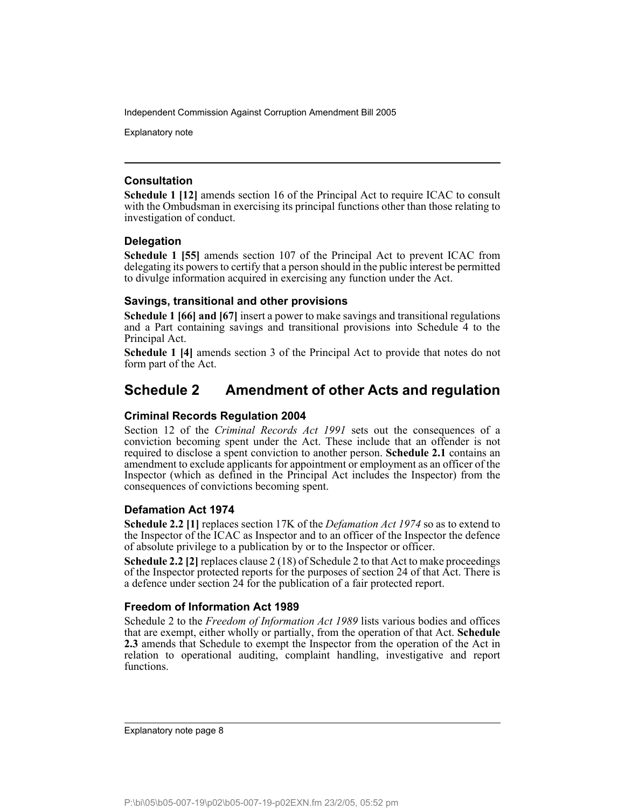Explanatory note

## **Consultation**

**Schedule 1 [12]** amends section 16 of the Principal Act to require ICAC to consult with the Ombudsman in exercising its principal functions other than those relating to investigation of conduct.

## **Delegation**

**Schedule 1 [55]** amends section 107 of the Principal Act to prevent ICAC from delegating its powers to certify that a person should in the public interest be permitted to divulge information acquired in exercising any function under the Act.

## **Savings, transitional and other provisions**

**Schedule 1 [66] and [67]** insert a power to make savings and transitional regulations and a Part containing savings and transitional provisions into Schedule 4 to the Principal Act.

**Schedule 1 [4]** amends section 3 of the Principal Act to provide that notes do not form part of the Act.

# **Schedule 2 Amendment of other Acts and regulation**

# **Criminal Records Regulation 2004**

Section 12 of the *Criminal Records Act 1991* sets out the consequences of a conviction becoming spent under the Act. These include that an offender is not required to disclose a spent conviction to another person. **Schedule 2.1** contains an amendment to exclude applicants for appointment or employment as an officer of the Inspector (which as defined in the Principal Act includes the Inspector) from the consequences of convictions becoming spent.

# **Defamation Act 1974**

**Schedule 2.2 [1]** replaces section 17K of the *Defamation Act 1974* so as to extend to the Inspector of the ICAC as Inspector and to an officer of the Inspector the defence of absolute privilege to a publication by or to the Inspector or officer.

**Schedule 2.2 [2]** replaces clause 2 (18) of Schedule 2 to that Act to make proceedings of the Inspector protected reports for the purposes of section 24 of that Act. There is a defence under section 24 for the publication of a fair protected report.

# **Freedom of Information Act 1989**

Schedule 2 to the *Freedom of Information Act 1989* lists various bodies and offices that are exempt, either wholly or partially, from the operation of that Act. **Schedule 2.3** amends that Schedule to exempt the Inspector from the operation of the Act in relation to operational auditing, complaint handling, investigative and report functions.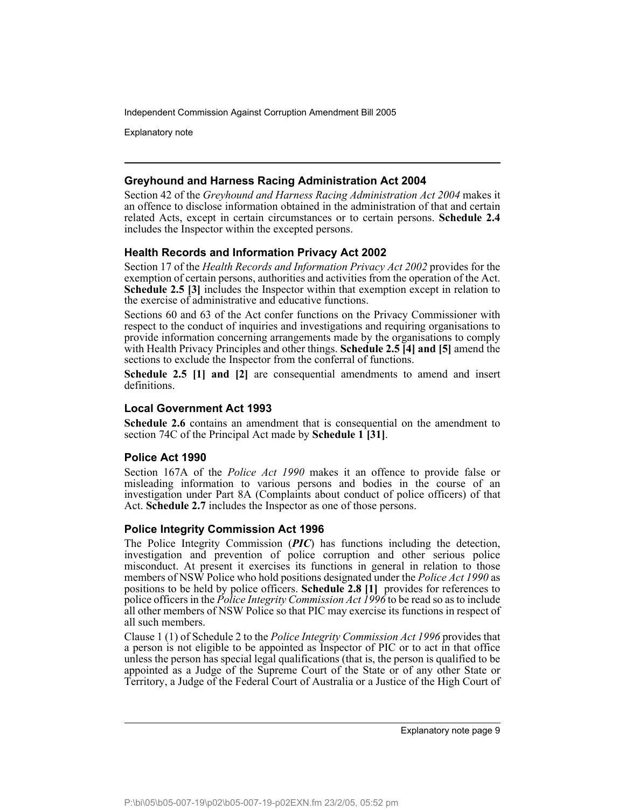Explanatory note

## **Greyhound and Harness Racing Administration Act 2004**

Section 42 of the *Greyhound and Harness Racing Administration Act 2004* makes it an offence to disclose information obtained in the administration of that and certain related Acts, except in certain circumstances or to certain persons. **Schedule 2.4** includes the Inspector within the excepted persons.

# **Health Records and Information Privacy Act 2002**

Section 17 of the *Health Records and Information Privacy Act 2002* provides for the exemption of certain persons, authorities and activities from the operation of the Act. **Schedule 2.5 [3]** includes the Inspector within that exemption except in relation to the exercise of administrative and educative functions.

Sections 60 and 63 of the Act confer functions on the Privacy Commissioner with respect to the conduct of inquiries and investigations and requiring organisations to provide information concerning arrangements made by the organisations to comply with Health Privacy Principles and other things. **Schedule 2.5 [4] and [5]** amend the sections to exclude the Inspector from the conferral of functions.

**Schedule 2.5 [1] and [2]** are consequential amendments to amend and insert definitions.

### **Local Government Act 1993**

**Schedule 2.6** contains an amendment that is consequential on the amendment to section 74C of the Principal Act made by **Schedule 1 [31]**.

### **Police Act 1990**

Section 167A of the *Police Act 1990* makes it an offence to provide false or misleading information to various persons and bodies in the course of an investigation under Part 8A (Complaints about conduct of police officers) of that Act. **Schedule 2.7** includes the Inspector as one of those persons.

### **Police Integrity Commission Act 1996**

The Police Integrity Commission (*PIC*) has functions including the detection, investigation and prevention of police corruption and other serious police misconduct. At present it exercises its functions in general in relation to those members of NSW Police who hold positions designated under the *Police Act 1990* as positions to be held by police officers. **Schedule 2.8 [1]** provides for references to police officers in the *Police Integrity Commission Act 1996* to be read so as to include all other members of NSW Police so that PIC may exercise its functions in respect of all such members.

Clause 1 (1) of Schedule 2 to the *Police Integrity Commission Act 1996* provides that a person is not eligible to be appointed as Inspector of PIC or to act in that office unless the person has special legal qualifications (that is, the person is qualified to be appointed as a Judge of the Supreme Court of the State or of any other State or Territory, a Judge of the Federal Court of Australia or a Justice of the High Court of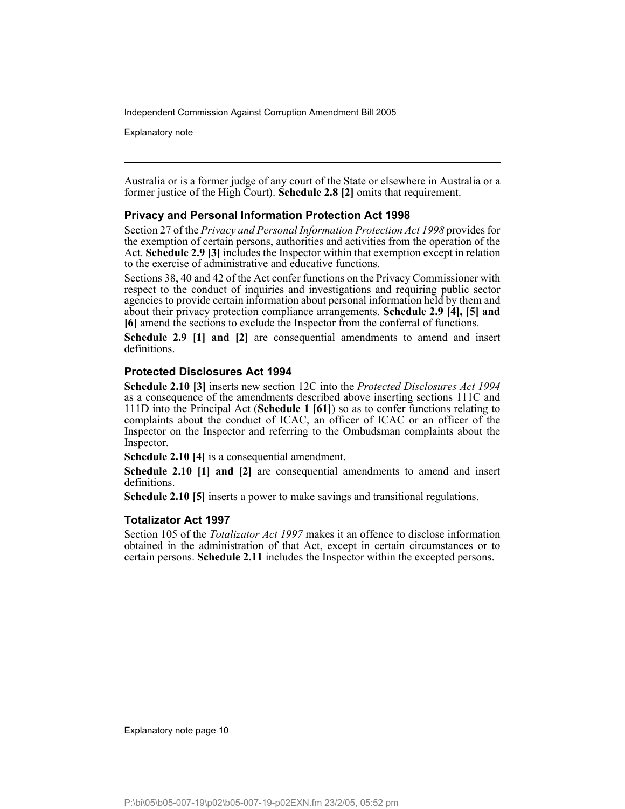Explanatory note

Australia or is a former judge of any court of the State or elsewhere in Australia or a former justice of the High Court). **Schedule 2.8 [2]** omits that requirement.

## **Privacy and Personal Information Protection Act 1998**

Section 27 of the *Privacy and Personal Information Protection Act 1998* provides for the exemption of certain persons, authorities and activities from the operation of the Act. **Schedule 2.9 [3]** includes the Inspector within that exemption except in relation to the exercise of administrative and educative functions.

Sections 38, 40 and 42 of the Act confer functions on the Privacy Commissioner with respect to the conduct of inquiries and investigations and requiring public sector agencies to provide certain information about personal information held by them and about their privacy protection compliance arrangements. **Schedule 2.9 [4], [5] and [6]** amend the sections to exclude the Inspector from the conferral of functions.

**Schedule 2.9 [1] and [2]** are consequential amendments to amend and insert definitions.

### **Protected Disclosures Act 1994**

**Schedule 2.10 [3]** inserts new section 12C into the *Protected Disclosures Act 1994* as a consequence of the amendments described above inserting sections 111C and 111D into the Principal Act (**Schedule 1 [61]**) so as to confer functions relating to complaints about the conduct of ICAC, an officer of ICAC or an officer of the Inspector on the Inspector and referring to the Ombudsman complaints about the Inspector.

**Schedule 2.10 [4]** is a consequential amendment.

**Schedule 2.10 [1] and [2]** are consequential amendments to amend and insert definitions.

**Schedule 2.10 [5]** inserts a power to make savings and transitional regulations.

### **Totalizator Act 1997**

Section 105 of the *Totalizator Act 1997* makes it an offence to disclose information obtained in the administration of that Act, except in certain circumstances or to certain persons. **Schedule 2.11** includes the Inspector within the excepted persons.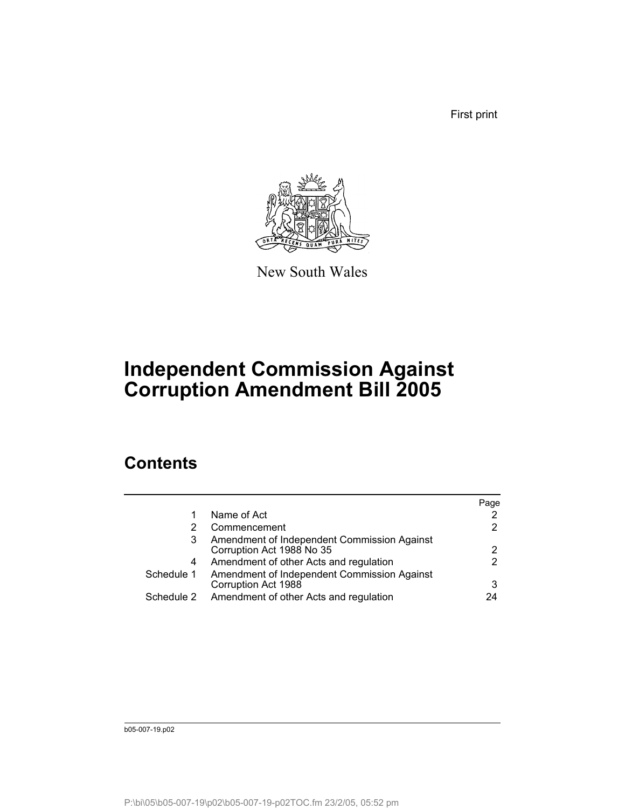First print



New South Wales

# **Independent Commission Against Corruption Amendment Bill 2005**

# **Contents**

|            |                                                                          | Page |
|------------|--------------------------------------------------------------------------|------|
|            | Name of Act                                                              |      |
|            | Commencement                                                             |      |
| 3          | Amendment of Independent Commission Against<br>Corruption Act 1988 No 35 |      |
| 4          | Amendment of other Acts and regulation                                   | 2    |
| Schedule 1 | Amendment of Independent Commission Against<br>Corruption Act 1988       | 3    |
| Schedule 2 | Amendment of other Acts and regulation                                   | 24   |
|            |                                                                          |      |

b05-007-19.p02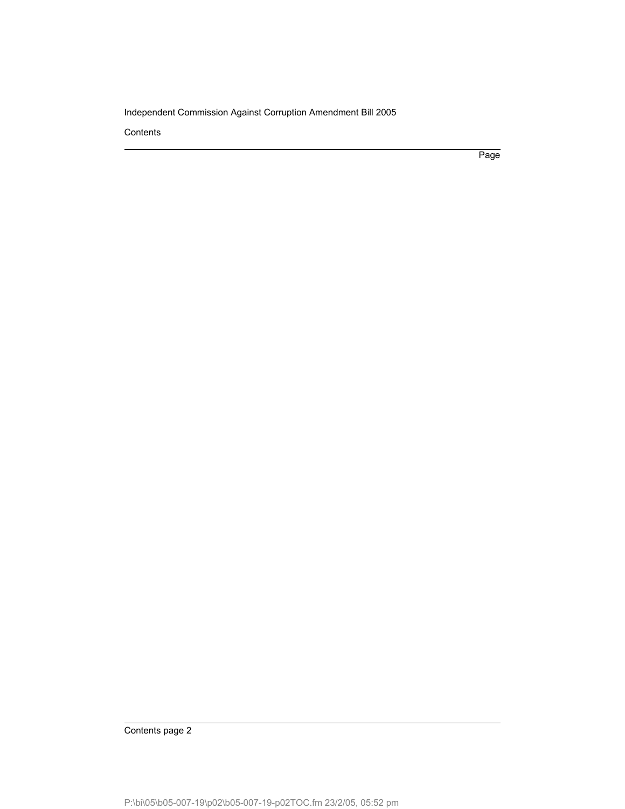**Contents** 

Page

Contents page 2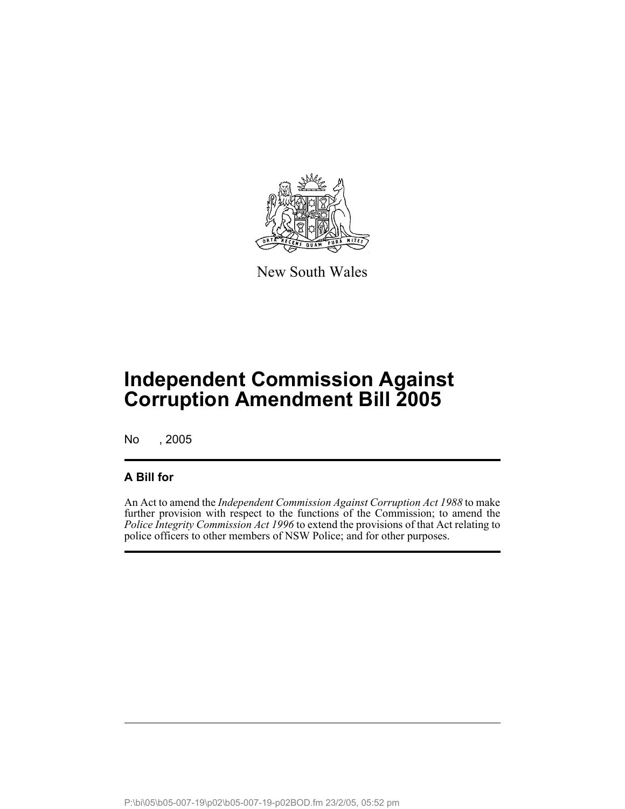

New South Wales

No , 2005

# **A Bill for**

An Act to amend the *Independent Commission Against Corruption Act 1988* to make further provision with respect to the functions of the Commission; to amend the *Police Integrity Commission Act 1996* to extend the provisions of that Act relating to police officers to other members of NSW Police; and for other purposes.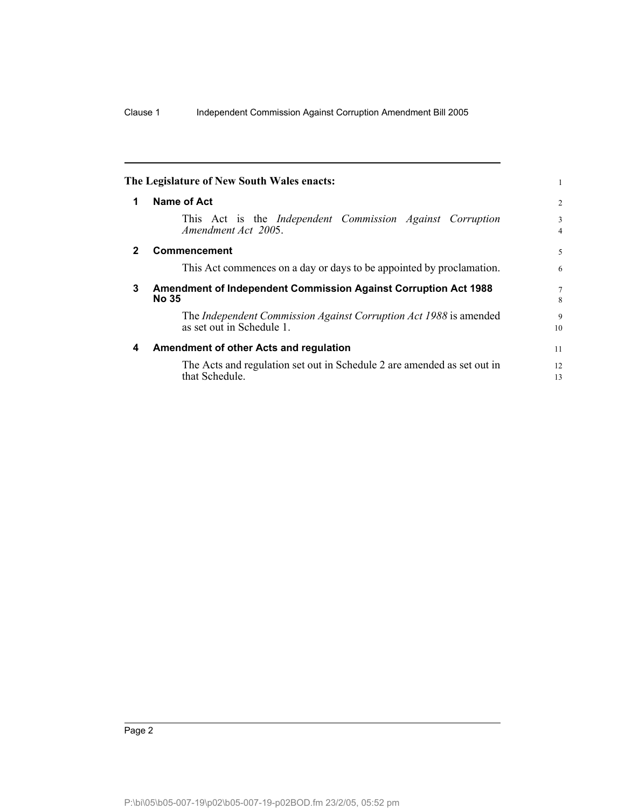|              | The Legislature of New South Wales enacts:                                                     |                |
|--------------|------------------------------------------------------------------------------------------------|----------------|
| 1            | Name of Act                                                                                    | $\overline{2}$ |
|              | This Act is the <i>Independent</i> Commission <i>Against</i> Corruption<br>Amendment Act 2005. | 3<br>4         |
| $\mathbf{2}$ | Commencement                                                                                   | 5              |
|              | This Act commences on a day or days to be appointed by proclamation.                           | 6              |
| 3            | <b>Amendment of Independent Commission Against Corruption Act 1988</b><br><b>No 35</b>         | 7<br>8         |
|              | The Independent Commission Against Corruption Act 1988 is amended<br>as set out in Schedule 1. | 9<br>10        |
| 4            | Amendment of other Acts and regulation                                                         | 11             |
|              | The Acts and regulation set out in Schedule 2 are amended as set out in<br>that Schedule.      | 12<br>13       |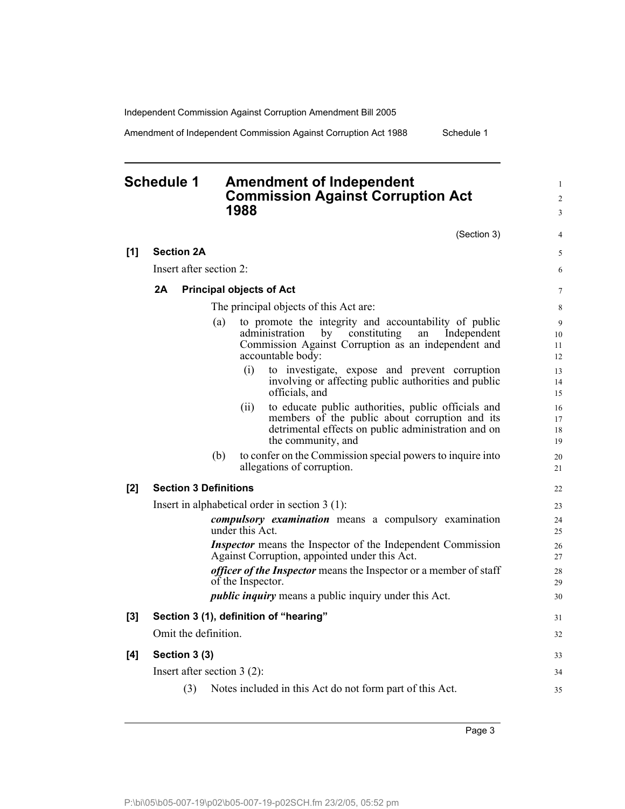Amendment of Independent Commission Against Corruption Act 1988 Schedule 1

# **Schedule 1 Amendment of Independent Commission Against Corruption Act 1988**

1 2 3

4

#### (Section 3) **[1] Section 2A** Insert after section 2: **2A Principal objects of Act** The principal objects of this Act are: (a) to promote the integrity and accountability of public administration by constituting an Independent Commission Against Corruption as an independent and accountable body: (i) to investigate, expose and prevent corruption involving or affecting public authorities and public officials, and (ii) to educate public authorities, public officials and members of the public about corruption and its detrimental effects on public administration and on the community, and (b) to confer on the Commission special powers to inquire into allegations of corruption. **[2] Section 3 Definitions** Insert in alphabetical order in section 3 (1): *compulsory examination* means a compulsory examination under this Act. *Inspector* means the Inspector of the Independent Commission Against Corruption, appointed under this Act. *officer of the Inspector* means the Inspector or a member of staff of the Inspector. *public inquiry* means a public inquiry under this Act. **[3] Section 3 (1), definition of "hearing"** Omit the definition. **[4] Section 3 (3)** Insert after section 3 (2): (3) Notes included in this Act do not form part of this Act. 20 21 22 23 24  $25$ 26 27 28 29 30 31 32 33 34 35

Page 3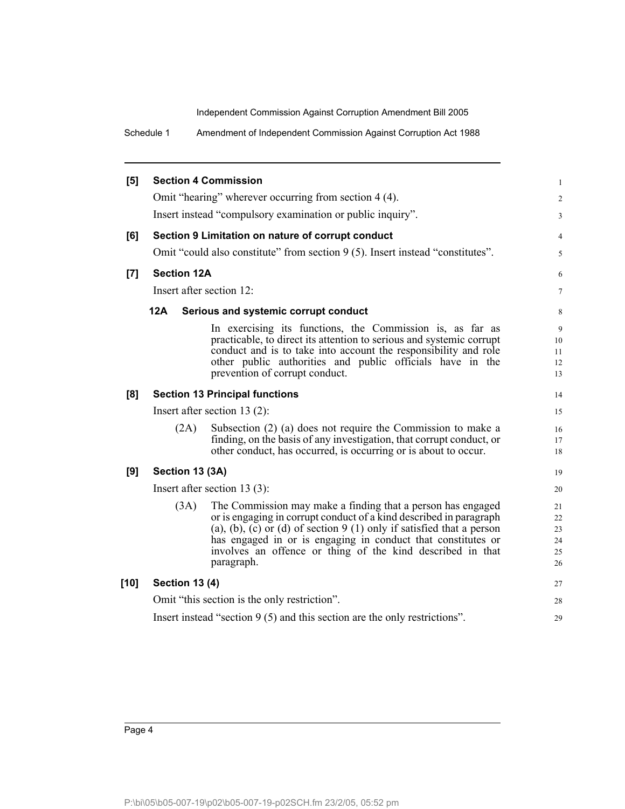Schedule 1 Amendment of Independent Commission Against Corruption Act 1988

| [5]   | <b>Section 4 Commission</b>                                                 |                                                                                                                                                                                                                                                                                                                                                         | $\mathbf{1}$                     |  |  |  |
|-------|-----------------------------------------------------------------------------|---------------------------------------------------------------------------------------------------------------------------------------------------------------------------------------------------------------------------------------------------------------------------------------------------------------------------------------------------------|----------------------------------|--|--|--|
|       |                                                                             | Omit "hearing" wherever occurring from section 4 (4).                                                                                                                                                                                                                                                                                                   | $\overline{2}$                   |  |  |  |
|       |                                                                             | Insert instead "compulsory examination or public inquiry".                                                                                                                                                                                                                                                                                              | 3                                |  |  |  |
| [6]   |                                                                             | Section 9 Limitation on nature of corrupt conduct                                                                                                                                                                                                                                                                                                       | $\overline{4}$                   |  |  |  |
|       |                                                                             | Omit "could also constitute" from section 9 (5). Insert instead "constitutes".                                                                                                                                                                                                                                                                          | 5                                |  |  |  |
| $[7]$ | <b>Section 12A</b>                                                          |                                                                                                                                                                                                                                                                                                                                                         | 6                                |  |  |  |
|       | Insert after section 12:                                                    |                                                                                                                                                                                                                                                                                                                                                         | $\tau$                           |  |  |  |
|       | <b>12A</b>                                                                  | Serious and systemic corrupt conduct                                                                                                                                                                                                                                                                                                                    | 8                                |  |  |  |
|       |                                                                             | In exercising its functions, the Commission is, as far as<br>practicable, to direct its attention to serious and systemic corrupt<br>conduct and is to take into account the responsibility and role<br>other public authorities and public officials have in the<br>prevention of corrupt conduct.                                                     | 9<br>10<br>11<br>12<br>13        |  |  |  |
| [8]   | <b>Section 13 Principal functions</b>                                       |                                                                                                                                                                                                                                                                                                                                                         | 14                               |  |  |  |
|       | Insert after section $13(2)$ :                                              |                                                                                                                                                                                                                                                                                                                                                         | 15                               |  |  |  |
|       | (2A)                                                                        | Subsection (2) (a) does not require the Commission to make a<br>finding, on the basis of any investigation, that corrupt conduct, or<br>other conduct, has occurred, is occurring or is about to occur.                                                                                                                                                 | 16<br>17<br>18                   |  |  |  |
| [9]   | Section 13 (3A)                                                             |                                                                                                                                                                                                                                                                                                                                                         | 19                               |  |  |  |
|       | Insert after section $13(3)$ :                                              |                                                                                                                                                                                                                                                                                                                                                         | 20                               |  |  |  |
|       | (3A)                                                                        | The Commission may make a finding that a person has engaged<br>or is engaging in corrupt conduct of a kind described in paragraph<br>(a), (b), (c) or (d) of section $9(1)$ only if satisfied that a person<br>has engaged in or is engaging in conduct that constitutes or<br>involves an offence or thing of the kind described in that<br>paragraph. | 21<br>22<br>23<br>24<br>25<br>26 |  |  |  |
| [10]  | <b>Section 13 (4)</b>                                                       |                                                                                                                                                                                                                                                                                                                                                         | 27                               |  |  |  |
|       |                                                                             | Omit "this section is the only restriction".                                                                                                                                                                                                                                                                                                            | 28                               |  |  |  |
|       | Insert instead "section $9(5)$ and this section are the only restrictions". |                                                                                                                                                                                                                                                                                                                                                         |                                  |  |  |  |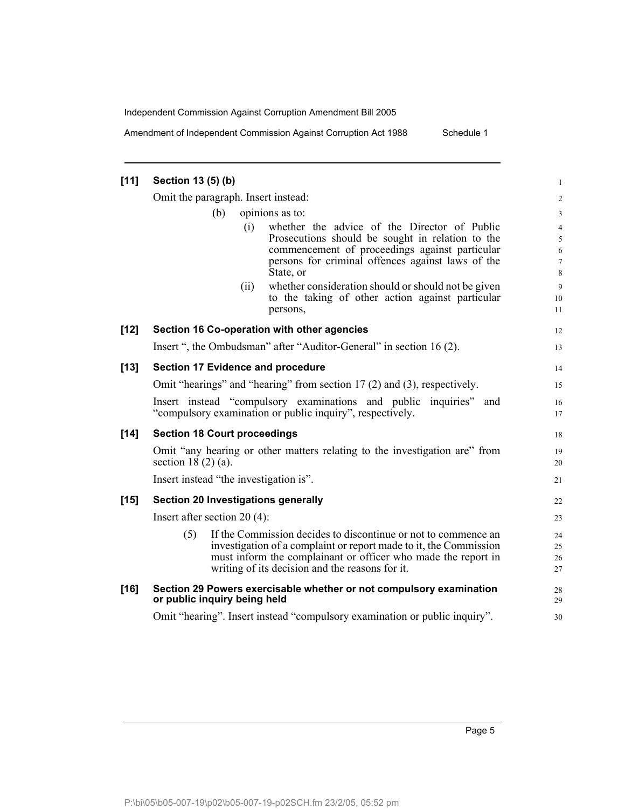Amendment of Independent Commission Against Corruption Act 1988 Schedule 1

| $[11]$ | Section 13 (5) (b)                                                                                                                                                                                                                                             | $\mathbf{1}$                                              |  |  |  |  |
|--------|----------------------------------------------------------------------------------------------------------------------------------------------------------------------------------------------------------------------------------------------------------------|-----------------------------------------------------------|--|--|--|--|
|        | Omit the paragraph. Insert instead:                                                                                                                                                                                                                            | $\overline{\mathbf{c}}$                                   |  |  |  |  |
|        | opinions as to:<br>(b)                                                                                                                                                                                                                                         |                                                           |  |  |  |  |
|        | (i)<br>whether the advice of the Director of Public<br>Prosecutions should be sought in relation to the<br>commencement of proceedings against particular<br>persons for criminal offences against laws of the<br>State, or                                    | $\overline{\mathcal{A}}$<br>5<br>6<br>$\overline{7}$<br>8 |  |  |  |  |
|        | whether consideration should or should not be given<br>(i)<br>to the taking of other action against particular<br>persons,                                                                                                                                     | 9<br>10<br>11                                             |  |  |  |  |
| $[12]$ | Section 16 Co-operation with other agencies                                                                                                                                                                                                                    | 12                                                        |  |  |  |  |
|        | Insert ", the Ombudsman" after "Auditor-General" in section 16 (2).                                                                                                                                                                                            | 13                                                        |  |  |  |  |
| $[13]$ | Section 17 Evidence and procedure                                                                                                                                                                                                                              | 14                                                        |  |  |  |  |
|        | Omit "hearings" and "hearing" from section 17 (2) and (3), respectively.                                                                                                                                                                                       | 15                                                        |  |  |  |  |
|        | Insert instead "compulsory examinations and public inquiries" and<br>"compulsory examination or public inquiry", respectively.                                                                                                                                 | 16<br>17                                                  |  |  |  |  |
| $[14]$ | <b>Section 18 Court proceedings</b>                                                                                                                                                                                                                            | 18                                                        |  |  |  |  |
|        | Omit "any hearing or other matters relating to the investigation are" from<br>section $18(2)(a)$ .                                                                                                                                                             | 19<br>20                                                  |  |  |  |  |
|        | Insert instead "the investigation is".                                                                                                                                                                                                                         | 21                                                        |  |  |  |  |
| $[15]$ | Section 20 Investigations generally                                                                                                                                                                                                                            | 22                                                        |  |  |  |  |
|        | Insert after section $20(4)$ :                                                                                                                                                                                                                                 | 23                                                        |  |  |  |  |
|        | (5)<br>If the Commission decides to discontinue or not to commence an<br>investigation of a complaint or report made to it, the Commission<br>must inform the complainant or officer who made the report in<br>writing of its decision and the reasons for it. | 24<br>25<br>26<br>27                                      |  |  |  |  |
| $[16]$ | Section 29 Powers exercisable whether or not compulsory examination<br>or public inquiry being held                                                                                                                                                            | 28<br>29                                                  |  |  |  |  |
|        | Omit "hearing". Insert instead "compulsory examination or public inquiry".                                                                                                                                                                                     | 30                                                        |  |  |  |  |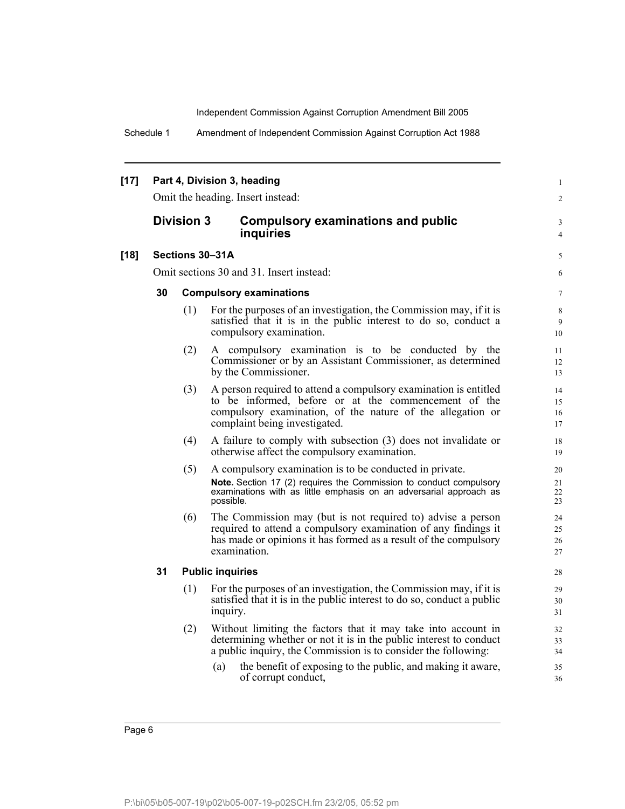Schedule 1 Amendment of Independent Commission Against Corruption Act 1988

| $[17]$ | Part 4, Division 3, heading<br>Omit the heading. Insert instead: |                   |                                                                                                                                                                                                                         |                      |  |  |  |
|--------|------------------------------------------------------------------|-------------------|-------------------------------------------------------------------------------------------------------------------------------------------------------------------------------------------------------------------------|----------------------|--|--|--|
|        |                                                                  | <b>Division 3</b> | <b>Compulsory examinations and public</b><br>inquiries                                                                                                                                                                  | 3<br>4               |  |  |  |
| $[18]$ |                                                                  |                   | Sections 30-31A                                                                                                                                                                                                         | 5                    |  |  |  |
|        |                                                                  |                   | Omit sections 30 and 31. Insert instead:                                                                                                                                                                                | 6                    |  |  |  |
|        | 30                                                               |                   | <b>Compulsory examinations</b>                                                                                                                                                                                          | $\overline{7}$       |  |  |  |
|        |                                                                  | (1)               | For the purposes of an investigation, the Commission may, if it is<br>satisfied that it is in the public interest to do so, conduct a<br>compulsory examination.                                                        | 8<br>9<br>10         |  |  |  |
|        |                                                                  | (2)               | A compulsory examination is to be conducted by the<br>Commissioner or by an Assistant Commissioner, as determined<br>by the Commissioner.                                                                               | 11<br>12<br>13       |  |  |  |
|        |                                                                  | (3)               | A person required to attend a compulsory examination is entitled<br>to be informed, before or at the commencement of the<br>compulsory examination, of the nature of the allegation or<br>complaint being investigated. | 14<br>15<br>16<br>17 |  |  |  |
|        |                                                                  | (4)               | A failure to comply with subsection (3) does not invalidate or<br>otherwise affect the compulsory examination.                                                                                                          | 18<br>19             |  |  |  |
|        |                                                                  | (5)               | A compulsory examination is to be conducted in private.<br>Note. Section 17 (2) requires the Commission to conduct compulsory<br>examinations with as little emphasis on an adversarial approach as<br>possible.        | 20<br>21<br>22<br>23 |  |  |  |
|        |                                                                  | (6)               | The Commission may (but is not required to) advise a person<br>required to attend a compulsory examination of any findings it<br>has made or opinions it has formed as a result of the compulsory<br>examination.       | 24<br>25<br>26<br>27 |  |  |  |
|        | 31                                                               |                   | <b>Public inquiries</b>                                                                                                                                                                                                 | 28                   |  |  |  |
|        |                                                                  | (1)               | For the purposes of an investigation, the Commission may, if it is<br>satisfied that it is in the public interest to do so, conduct a public<br>inquiry.                                                                | 29<br>30<br>31       |  |  |  |
|        |                                                                  | (2)               | Without limiting the factors that it may take into account in<br>determining whether or not it is in the public interest to conduct<br>a public inquiry, the Commission is to consider the following:                   | 32<br>33<br>34       |  |  |  |
|        |                                                                  |                   | the benefit of exposing to the public, and making it aware,<br>(a)<br>of corrupt conduct,                                                                                                                               | 35<br>36             |  |  |  |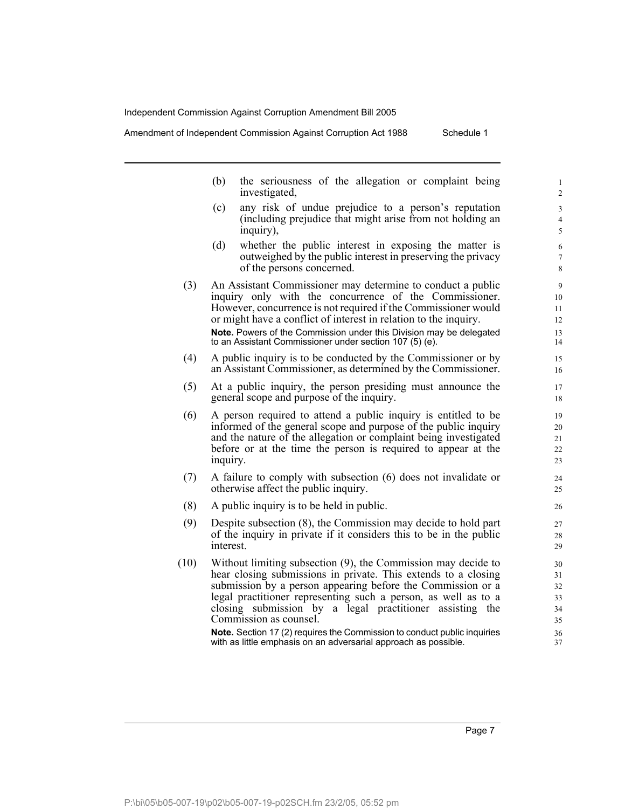Amendment of Independent Commission Against Corruption Act 1988 Schedule 1

(b) the seriousness of the allegation or complaint being investigated, (c) any risk of undue prejudice to a person's reputation (including prejudice that might arise from not holding an inquiry), (d) whether the public interest in exposing the matter is outweighed by the public interest in preserving the privacy of the persons concerned. (3) An Assistant Commissioner may determine to conduct a public inquiry only with the concurrence of the Commissioner. However, concurrence is not required if the Commissioner would or might have a conflict of interest in relation to the inquiry. **Note.** Powers of the Commission under this Division may be delegated to an Assistant Commissioner under section 107 (5) (e). (4) A public inquiry is to be conducted by the Commissioner or by an Assistant Commissioner, as determined by the Commissioner. (5) At a public inquiry, the person presiding must announce the general scope and purpose of the inquiry. (6) A person required to attend a public inquiry is entitled to be informed of the general scope and purpose of the public inquiry and the nature of the allegation or complaint being investigated before or at the time the person is required to appear at the inquiry. (7) A failure to comply with subsection (6) does not invalidate or otherwise affect the public inquiry. (8) A public inquiry is to be held in public. (9) Despite subsection (8), the Commission may decide to hold part of the inquiry in private if it considers this to be in the public interest. (10) Without limiting subsection (9), the Commission may decide to hear closing submissions in private. This extends to a closing submission by a person appearing before the Commission or a legal practitioner representing such a person, as well as to a closing submission by a legal practitioner assisting the Commission as counsel. **Note.** Section 17 (2) requires the Commission to conduct public inquiries with as little emphasis on an adversarial approach as possible. 1 2 3 4 5 6 7 8 9 10 11 12 13 14 15 16 17 18 19 20 21 22 23 24 25 26 27 28 29 30 31 32 33 34 35 36 37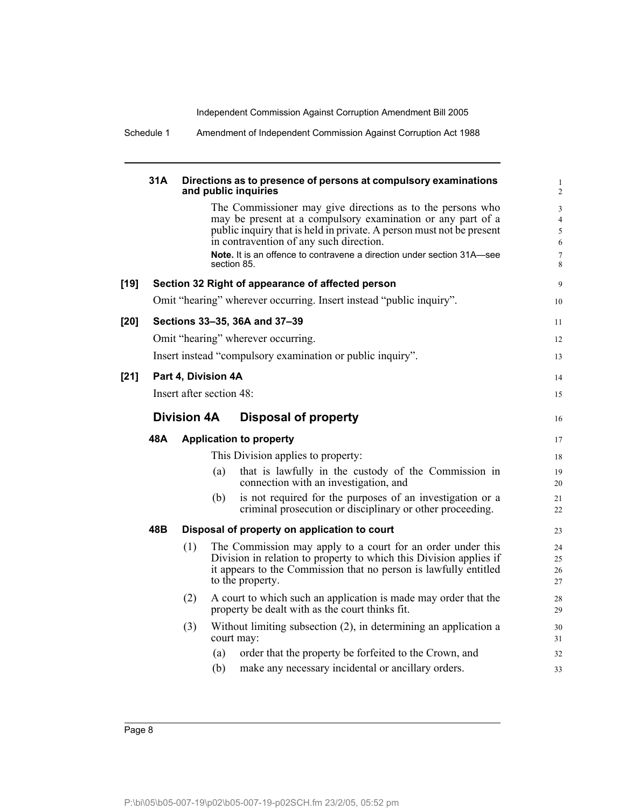Schedule 1 Amendment of Independent Commission Against Corruption Act 1988

|      | 31A                 |                          |     | Directions as to presence of persons at compulsory examinations<br>and public inquiries                                                                                                                                                                                                                                               | $\mathbf{1}$<br>2                                                  |
|------|---------------------|--------------------------|-----|---------------------------------------------------------------------------------------------------------------------------------------------------------------------------------------------------------------------------------------------------------------------------------------------------------------------------------------|--------------------------------------------------------------------|
|      |                     |                          |     | The Commissioner may give directions as to the persons who<br>may be present at a compulsory examination or any part of a<br>public inquiry that is held in private. A person must not be present<br>in contravention of any such direction.<br>Note. It is an offence to contravene a direction under section 31A-see<br>section 85. | $\mathfrak{Z}$<br>$\overline{4}$<br>5<br>$\sqrt{6}$<br>$\tau$<br>8 |
| [19] |                     |                          |     | Section 32 Right of appearance of affected person                                                                                                                                                                                                                                                                                     | 9                                                                  |
|      |                     |                          |     | Omit "hearing" wherever occurring. Insert instead "public inquiry".                                                                                                                                                                                                                                                                   | 10                                                                 |
| [20] |                     |                          |     | Sections 33-35, 36A and 37-39                                                                                                                                                                                                                                                                                                         | 11                                                                 |
|      |                     |                          |     | Omit "hearing" wherever occurring.                                                                                                                                                                                                                                                                                                    | 12                                                                 |
|      |                     |                          |     | Insert instead "compulsory examination or public inquiry".                                                                                                                                                                                                                                                                            | 13                                                                 |
| [21] | Part 4, Division 4A |                          |     |                                                                                                                                                                                                                                                                                                                                       |                                                                    |
|      |                     | Insert after section 48: |     |                                                                                                                                                                                                                                                                                                                                       | 15                                                                 |
|      |                     | <b>Division 4A</b>       |     | Disposal of property                                                                                                                                                                                                                                                                                                                  | 16                                                                 |
|      | 48A                 |                          |     | <b>Application to property</b>                                                                                                                                                                                                                                                                                                        | 17                                                                 |
|      |                     |                          |     | This Division applies to property:                                                                                                                                                                                                                                                                                                    | 18                                                                 |
|      |                     |                          | (a) | that is lawfully in the custody of the Commission in<br>connection with an investigation, and                                                                                                                                                                                                                                         | 19<br>20                                                           |
|      |                     |                          | (b) | is not required for the purposes of an investigation or a<br>criminal prosecution or disciplinary or other proceeding.                                                                                                                                                                                                                | 21<br>22                                                           |
|      | 48B                 |                          |     | Disposal of property on application to court                                                                                                                                                                                                                                                                                          | 23                                                                 |
|      |                     | (1)                      |     | The Commission may apply to a court for an order under this<br>Division in relation to property to which this Division applies if<br>it appears to the Commission that no person is lawfully entitled<br>to the property.                                                                                                             | 24<br>25<br>26<br>27                                               |
|      |                     | (2)                      |     | A court to which such an application is made may order that the<br>property be dealt with as the court thinks fit.                                                                                                                                                                                                                    | 28<br>29                                                           |
|      |                     | (3)                      |     | Without limiting subsection (2), in determining an application a<br>court may:                                                                                                                                                                                                                                                        | 30<br>31                                                           |
|      |                     |                          | (a) | order that the property be forfeited to the Crown, and                                                                                                                                                                                                                                                                                | 32                                                                 |
|      |                     |                          | (b) | make any necessary incidental or ancillary orders.                                                                                                                                                                                                                                                                                    | 33                                                                 |
|      |                     |                          |     |                                                                                                                                                                                                                                                                                                                                       |                                                                    |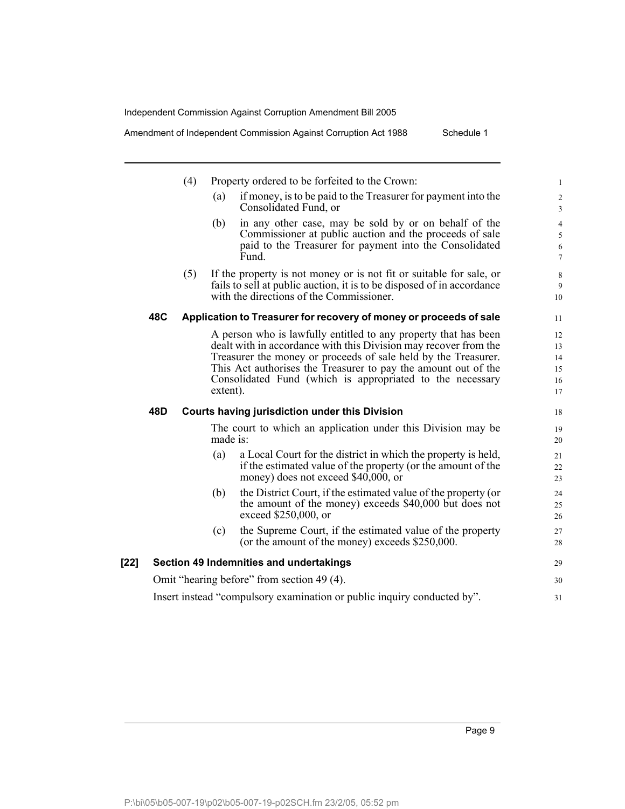Amendment of Independent Commission Against Corruption Act 1988 Schedule 1

|      |                                                                         | (4) | Property ordered to be forfeited to the Crown:                                                                                                                                                                                                                                                                                                   | $\mathbf{1}$                       |  |  |  |
|------|-------------------------------------------------------------------------|-----|--------------------------------------------------------------------------------------------------------------------------------------------------------------------------------------------------------------------------------------------------------------------------------------------------------------------------------------------------|------------------------------------|--|--|--|
|      |                                                                         |     | if money, is to be paid to the Treasurer for payment into the<br>(a)<br>Consolidated Fund, or                                                                                                                                                                                                                                                    | $\overline{2}$<br>$\overline{3}$   |  |  |  |
|      |                                                                         |     | in any other case, may be sold by or on behalf of the<br>(b)<br>Commissioner at public auction and the proceeds of sale<br>paid to the Treasurer for payment into the Consolidated<br>Fund.                                                                                                                                                      | $\overline{4}$<br>5<br>6<br>$\tau$ |  |  |  |
|      |                                                                         | (5) | If the property is not money or is not fit or suitable for sale, or<br>fails to sell at public auction, it is to be disposed of in accordance<br>with the directions of the Commissioner.                                                                                                                                                        | 8<br>9<br>10                       |  |  |  |
|      | 48C                                                                     |     | Application to Treasurer for recovery of money or proceeds of sale                                                                                                                                                                                                                                                                               | 11                                 |  |  |  |
|      |                                                                         |     | A person who is lawfully entitled to any property that has been<br>dealt with in accordance with this Division may recover from the<br>Treasurer the money or proceeds of sale held by the Treasurer.<br>This Act authorises the Treasurer to pay the amount out of the<br>Consolidated Fund (which is appropriated to the necessary<br>extent). | 12<br>13<br>14<br>15<br>16<br>17   |  |  |  |
|      | 48D                                                                     |     | <b>Courts having jurisdiction under this Division</b>                                                                                                                                                                                                                                                                                            | 18                                 |  |  |  |
|      |                                                                         |     | The court to which an application under this Division may be<br>made is:                                                                                                                                                                                                                                                                         | 19<br>20                           |  |  |  |
|      |                                                                         |     | a Local Court for the district in which the property is held,<br>(a)<br>if the estimated value of the property (or the amount of the<br>money) does not exceed \$40,000, or                                                                                                                                                                      | 21<br>22<br>23                     |  |  |  |
|      |                                                                         |     | the District Court, if the estimated value of the property (or<br>(b)<br>the amount of the money) exceeds \$40,000 but does not<br>exceed \$250,000, or                                                                                                                                                                                          | 24<br>25<br>26                     |  |  |  |
|      |                                                                         |     | the Supreme Court, if the estimated value of the property<br>(c)<br>(or the amount of the money) exceeds \$250,000.                                                                                                                                                                                                                              | 27<br>28                           |  |  |  |
| [22] |                                                                         |     | Section 49 Indemnities and undertakings                                                                                                                                                                                                                                                                                                          | 29                                 |  |  |  |
|      |                                                                         |     | Omit "hearing before" from section 49 (4).                                                                                                                                                                                                                                                                                                       | 30                                 |  |  |  |
|      | Insert instead "compulsory examination or public inquiry conducted by". |     |                                                                                                                                                                                                                                                                                                                                                  |                                    |  |  |  |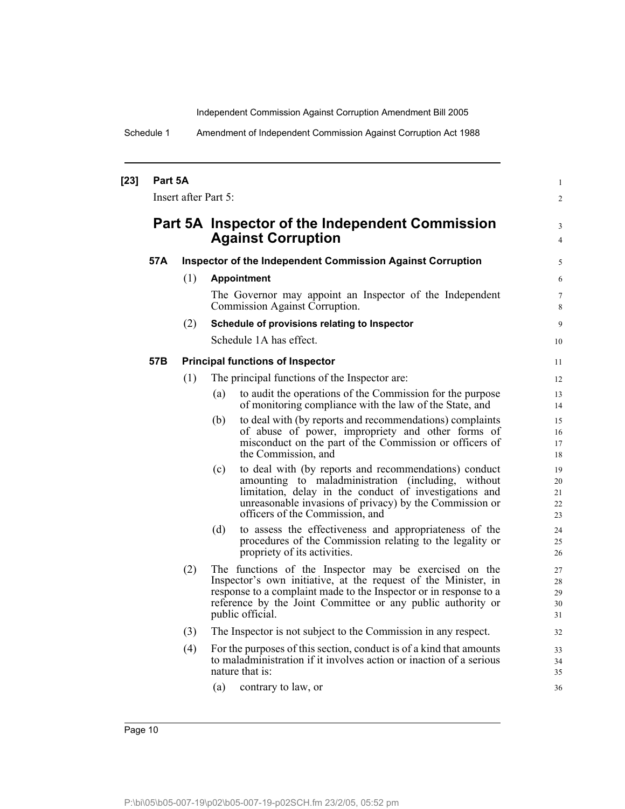Schedule 1 Amendment of Independent Commission Against Corruption Act 1988

| $[23]$ | Part 5A |                      |                                                                                                                                                                                                                                                                                  | 1                          |
|--------|---------|----------------------|----------------------------------------------------------------------------------------------------------------------------------------------------------------------------------------------------------------------------------------------------------------------------------|----------------------------|
|        |         | Insert after Part 5: |                                                                                                                                                                                                                                                                                  | $\overline{c}$             |
|        |         |                      | Part 5A Inspector of the Independent Commission<br><b>Against Corruption</b>                                                                                                                                                                                                     | 3<br>4                     |
|        | 57A     |                      | <b>Inspector of the Independent Commission Against Corruption</b>                                                                                                                                                                                                                | 5                          |
|        |         | (1)                  | <b>Appointment</b>                                                                                                                                                                                                                                                               | 6                          |
|        |         |                      | The Governor may appoint an Inspector of the Independent<br>Commission Against Corruption.                                                                                                                                                                                       | 7<br>8                     |
|        |         | (2)                  | Schedule of provisions relating to Inspector                                                                                                                                                                                                                                     | 9                          |
|        |         |                      | Schedule 1A has effect.                                                                                                                                                                                                                                                          | 10                         |
|        | 57B     |                      | <b>Principal functions of Inspector</b>                                                                                                                                                                                                                                          | 11                         |
|        |         | (1)                  | The principal functions of the Inspector are:                                                                                                                                                                                                                                    | 12                         |
|        |         |                      | to audit the operations of the Commission for the purpose<br>(a)<br>of monitoring compliance with the law of the State, and                                                                                                                                                      | 13<br>14                   |
|        |         |                      | to deal with (by reports and recommendations) complaints<br>(b)<br>of abuse of power, impropriety and other forms of<br>misconduct on the part of the Commission or officers of<br>the Commission, and                                                                           | 15<br>16<br>17<br>18       |
|        |         |                      | to deal with (by reports and recommendations) conduct<br>(c)<br>amounting to maladministration (including, without<br>limitation, delay in the conduct of investigations and<br>unreasonable invasions of privacy) by the Commission or<br>officers of the Commission, and       | 19<br>20<br>21<br>22<br>23 |
|        |         |                      | to assess the effectiveness and appropriateness of the<br>(d)<br>procedures of the Commission relating to the legality or<br>propriety of its activities.                                                                                                                        | 24<br>25<br>26             |
|        |         | (2)                  | The functions of the Inspector may be exercised on the<br>Inspector's own initiative, at the request of the Minister, in<br>response to a complaint made to the Inspector or in response to a<br>reference by the Joint Committee or any public authority or<br>public official. | 27<br>28<br>29<br>30<br>31 |
|        |         | (3)                  | The Inspector is not subject to the Commission in any respect.                                                                                                                                                                                                                   | 32                         |
|        |         | (4)                  | For the purposes of this section, conduct is of a kind that amounts<br>to maladministration if it involves action or inaction of a serious<br>nature that is:                                                                                                                    | 33<br>34<br>35             |
|        |         |                      | (a)<br>contrary to law, or                                                                                                                                                                                                                                                       | 36                         |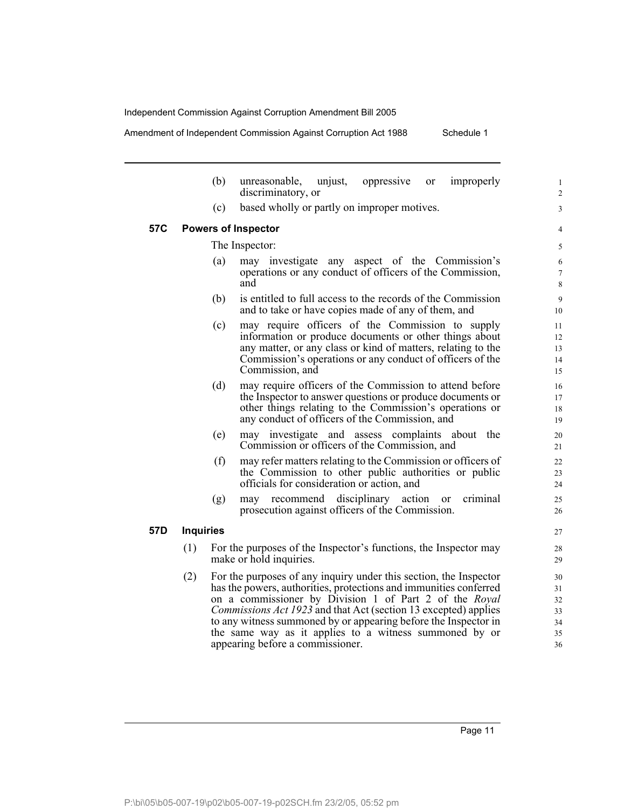Amendment of Independent Commission Against Corruption Act 1988 Schedule 1

(b) unreasonable, unjust, oppressive or improperly discriminatory, or (c) based wholly or partly on improper motives. **57C Powers of Inspector** The Inspector: (a) may investigate any aspect of the Commission's operations or any conduct of officers of the Commission, and (b) is entitled to full access to the records of the Commission and to take or have copies made of any of them, and (c) may require officers of the Commission to supply information or produce documents or other things about any matter, or any class or kind of matters, relating to the Commission's operations or any conduct of officers of the Commission, and (d) may require officers of the Commission to attend before the Inspector to answer questions or produce documents or other things relating to the Commission's operations or any conduct of officers of the Commission, and (e) may investigate and assess complaints about the Commission or officers of the Commission, and (f) may refer matters relating to the Commission or officers of the Commission to other public authorities or public officials for consideration or action, and (g) may recommend disciplinary action or criminal prosecution against officers of the Commission. **57D Inquiries** (1) For the purposes of the Inspector's functions, the Inspector may make or hold inquiries. (2) For the purposes of any inquiry under this section, the Inspector has the powers, authorities, protections and immunities conferred on a commissioner by Division 1 of Part 2 of the *Royal Commissions Act 1923* and that Act (section 13 excepted) applies to any witness summoned by or appearing before the Inspector in the same way as it applies to a witness summoned by or appearing before a commissioner. 10 11 12 13 14 15 16 17 18 19 20 21 22 23 24 25 26 27 28 29 30 31 32 33 34 35 36

Page 11

1 2 3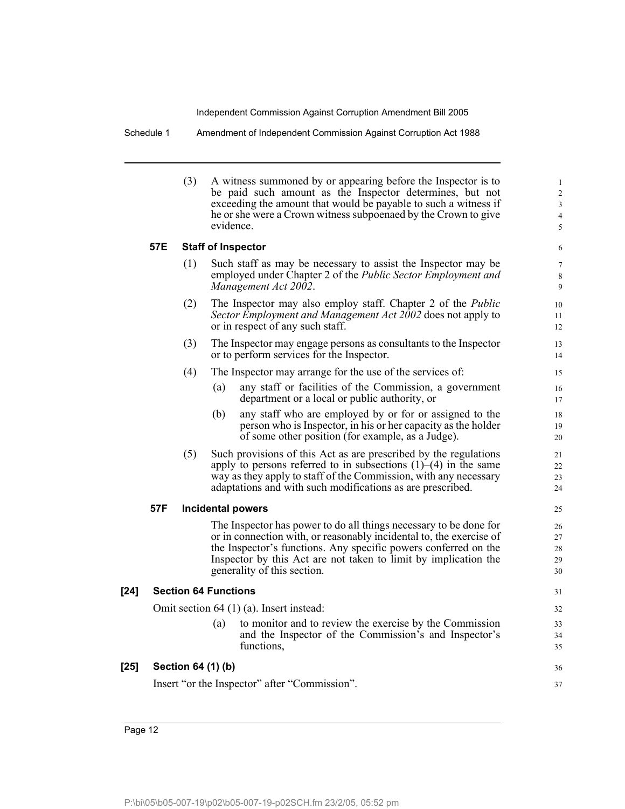Schedule 1 Amendment of Independent Commission Against Corruption Act 1988

| (3) | A witness summoned by or appearing before the Inspector is to   |
|-----|-----------------------------------------------------------------|
|     | be paid such amount as the Inspector determines, but not        |
|     | exceeding the amount that would be payable to such a witness if |
|     | he or she were a Crown witness subpoenaed by the Crown to give  |
|     | evidence.                                                       |

36 37

### **57E Staff of Inspector**

| (1) | Such staff as may be necessary to assist the Inspector may be       |
|-----|---------------------------------------------------------------------|
|     | employed under Chapter 2 of the <i>Public Sector Employment and</i> |
|     | Management Act 2002.                                                |

- (2) The Inspector may also employ staff. Chapter 2 of the *Public Sector Employment and Management Act 2002* does not apply to or in respect of any such staff.
- (3) The Inspector may engage persons as consultants to the Inspector or to perform services for the Inspector.
- (4) The Inspector may arrange for the use of the services of:
	- (a) any staff or facilities of the Commission, a government department or a local or public authority, or
	- (b) any staff who are employed by or for or assigned to the person who is Inspector, in his or her capacity as the holder of some other position (for example, as a Judge).
- (5) Such provisions of this Act as are prescribed by the regulations apply to persons referred to in subsections  $(1)$ – $(4)$  in the same way as they apply to staff of the Commission, with any necessary adaptations and with such modifications as are prescribed.

### **57F Incidental powers**

The Inspector has power to do all things necessary to be done for or in connection with, or reasonably incidental to, the exercise of the Inspector's functions. Any specific powers conferred on the Inspector by this Act are not taken to limit by implication the generality of this section.

### **[24] Section 64 Functions**

Omit section 64 (1) (a). Insert instead:

(a) to monitor and to review the exercise by the Commission and the Inspector of the Commission's and Inspector's functions,

| $[25]$ Section 64 (1) (b)                     |
|-----------------------------------------------|
| Insert "or the Inspector" after "Commission". |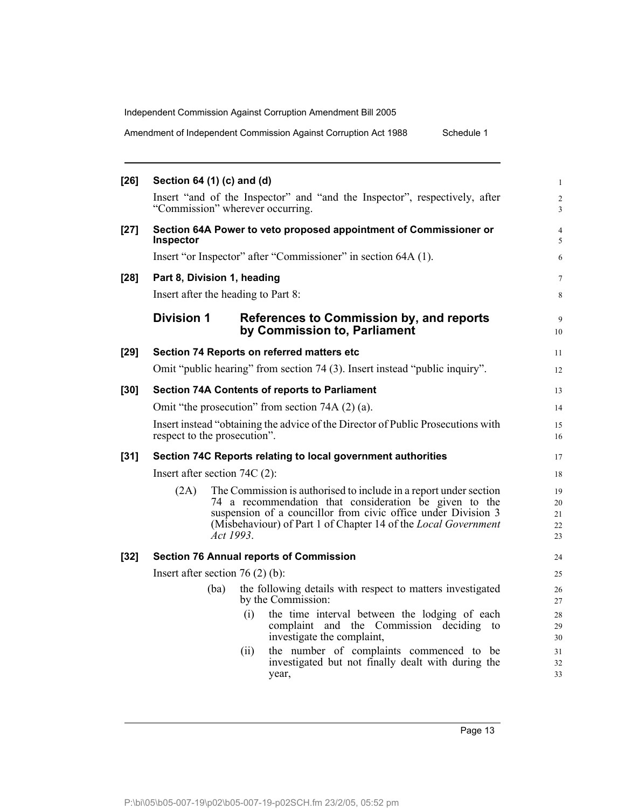Amendment of Independent Commission Against Corruption Act 1988 Schedule 1

| $[26]$ | Section 64 (1) (c) and (d)                                                                                       |           |      |                                                                                                                                                                                                                                                                | $\mathbf{1}$               |  |
|--------|------------------------------------------------------------------------------------------------------------------|-----------|------|----------------------------------------------------------------------------------------------------------------------------------------------------------------------------------------------------------------------------------------------------------------|----------------------------|--|
|        | Insert "and of the Inspector" and "and the Inspector", respectively, after<br>"Commission" wherever occurring.   |           |      |                                                                                                                                                                                                                                                                |                            |  |
| $[27]$ | <b>Inspector</b>                                                                                                 |           |      | Section 64A Power to veto proposed appointment of Commissioner or                                                                                                                                                                                              | $\overline{4}$<br>5        |  |
|        |                                                                                                                  |           |      | Insert "or Inspector" after "Commissioner" in section 64A (1).                                                                                                                                                                                                 | 6                          |  |
| $[28]$ | Part 8, Division 1, heading                                                                                      |           |      |                                                                                                                                                                                                                                                                | $\tau$                     |  |
|        | Insert after the heading to Part 8:                                                                              |           |      |                                                                                                                                                                                                                                                                | 8                          |  |
|        | <b>Division 1</b>                                                                                                |           |      | References to Commission by, and reports<br>by Commission to, Parliament                                                                                                                                                                                       | 9<br>10                    |  |
| $[29]$ |                                                                                                                  |           |      | Section 74 Reports on referred matters etc                                                                                                                                                                                                                     | 11                         |  |
|        |                                                                                                                  |           |      | Omit "public hearing" from section 74 (3). Insert instead "public inquiry".                                                                                                                                                                                    | 12                         |  |
| $[30]$ |                                                                                                                  |           |      | <b>Section 74A Contents of reports to Parliament</b>                                                                                                                                                                                                           | 13                         |  |
|        | Omit "the prosecution" from section 74A (2) (a).                                                                 |           |      |                                                                                                                                                                                                                                                                |                            |  |
|        | Insert instead "obtaining the advice of the Director of Public Prosecutions with<br>respect to the prosecution". |           |      |                                                                                                                                                                                                                                                                |                            |  |
| $[31]$ |                                                                                                                  |           |      | Section 74C Reports relating to local government authorities                                                                                                                                                                                                   | 17                         |  |
|        | Insert after section $74C(2)$ :                                                                                  |           |      |                                                                                                                                                                                                                                                                | 18                         |  |
|        | (2A)                                                                                                             | Act 1993. |      | The Commission is authorised to include in a report under section<br>74 a recommendation that consideration be given to the<br>suspension of a councillor from civic office under Division 3<br>(Misbehaviour) of Part 1 of Chapter 14 of the Local Government | 19<br>20<br>21<br>22<br>23 |  |
| $[32]$ |                                                                                                                  |           |      | <b>Section 76 Annual reports of Commission</b>                                                                                                                                                                                                                 | 24                         |  |
|        | Insert after section $76(2)(b)$ :                                                                                |           |      |                                                                                                                                                                                                                                                                |                            |  |
|        |                                                                                                                  | (ba)      |      | the following details with respect to matters investigated<br>by the Commission:                                                                                                                                                                               | 26<br>27                   |  |
|        |                                                                                                                  |           | (i)  | the time interval between the lodging of each<br>complaint and the Commission deciding<br>to<br>investigate the complaint,                                                                                                                                     | 28<br>29<br>30             |  |
|        |                                                                                                                  |           | (ii) | the number of complaints commenced to be<br>investigated but not finally dealt with during the<br>year,                                                                                                                                                        | 31<br>32<br>33             |  |

Page 13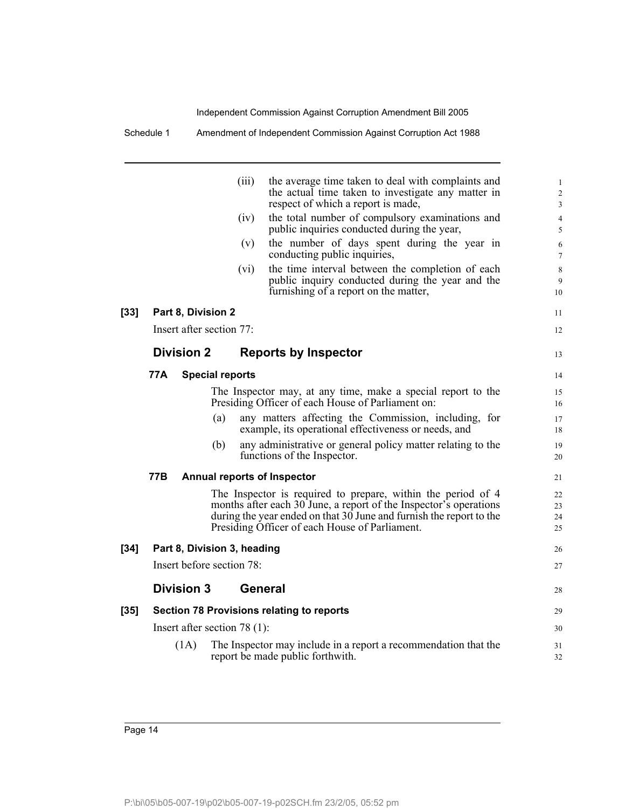Schedule 1 Amendment of Independent Commission Against Corruption Act 1988

|      |     |                                | (iii)          | the average time taken to deal with complaints and                                                                                                                                                                                                           | 1                    |
|------|-----|--------------------------------|----------------|--------------------------------------------------------------------------------------------------------------------------------------------------------------------------------------------------------------------------------------------------------------|----------------------|
|      |     |                                |                | the actual time taken to investigate any matter in                                                                                                                                                                                                           | $\overline{2}$       |
|      |     |                                |                | respect of which a report is made,                                                                                                                                                                                                                           | 3                    |
|      |     |                                | (iv)           | the total number of compulsory examinations and<br>public inquiries conducted during the year,                                                                                                                                                               | $\overline{4}$<br>5  |
|      |     |                                | (v)            | the number of days spent during the year in<br>conducting public inquiries,                                                                                                                                                                                  | 6<br>$\tau$          |
|      |     |                                | (vi)           | the time interval between the completion of each<br>public inquiry conducted during the year and the<br>furnishing of a report on the matter,                                                                                                                | 8<br>9<br>10         |
| [33] |     | Part 8, Division 2             |                |                                                                                                                                                                                                                                                              | 11                   |
|      |     | Insert after section 77:       |                |                                                                                                                                                                                                                                                              | 12                   |
|      |     | <b>Division 2</b>              |                | <b>Reports by Inspector</b>                                                                                                                                                                                                                                  | 13                   |
|      | 77A | <b>Special reports</b>         |                |                                                                                                                                                                                                                                                              | 14                   |
|      |     |                                |                | The Inspector may, at any time, make a special report to the<br>Presiding Officer of each House of Parliament on:                                                                                                                                            | 15<br>16             |
|      |     | (a)                            |                | any matters affecting the Commission, including, for<br>example, its operational effectiveness or needs, and                                                                                                                                                 | 17<br>18             |
|      |     | (b)                            |                | any administrative or general policy matter relating to the<br>functions of the Inspector.                                                                                                                                                                   | 19<br>20             |
|      | 77B |                                |                | Annual reports of Inspector                                                                                                                                                                                                                                  | 21                   |
|      |     |                                |                | The Inspector is required to prepare, within the period of 4<br>months after each 30 June, a report of the Inspector's operations<br>during the year ended on that $30$ June and furnish the report to the<br>Presiding Officer of each House of Parliament. | 22<br>23<br>24<br>25 |
| [34] |     | Part 8, Division 3, heading    |                |                                                                                                                                                                                                                                                              | 26                   |
|      |     | Insert before section 78:      |                |                                                                                                                                                                                                                                                              | 27                   |
|      |     | <b>Division 3</b>              | <b>General</b> |                                                                                                                                                                                                                                                              | 28                   |
| [35] |     |                                |                | <b>Section 78 Provisions relating to reports</b>                                                                                                                                                                                                             | 29                   |
|      |     | Insert after section $78(1)$ : |                |                                                                                                                                                                                                                                                              | 30                   |
|      |     | (1A)                           |                | The Inspector may include in a report a recommendation that the<br>report be made public forthwith.                                                                                                                                                          | 31<br>32             |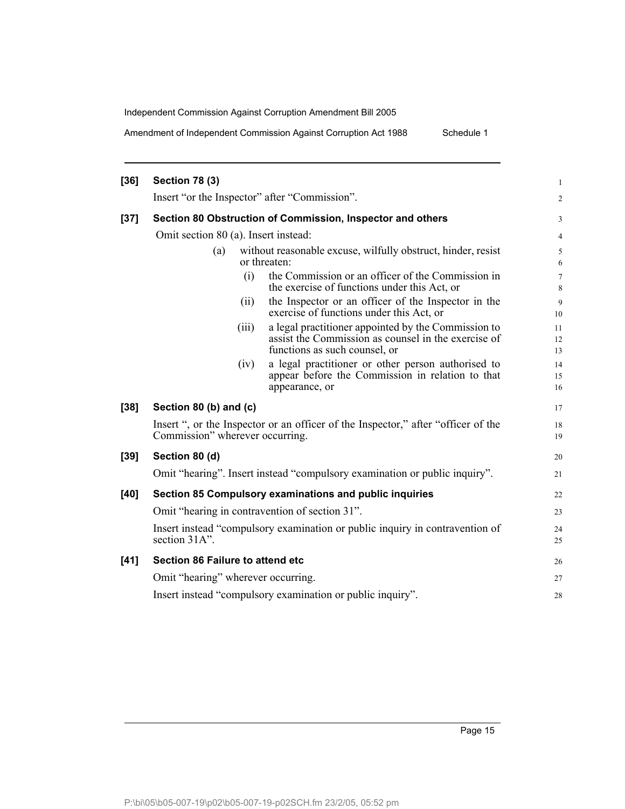Amendment of Independent Commission Against Corruption Act 1988 Schedule 1

| $[36]$ | <b>Section 78 (3)</b>                                      |       |                                                                                                                                             |                |  |  |
|--------|------------------------------------------------------------|-------|---------------------------------------------------------------------------------------------------------------------------------------------|----------------|--|--|
|        |                                                            |       | Insert "or the Inspector" after "Commission".                                                                                               | $\overline{2}$ |  |  |
| $[37]$ | Section 80 Obstruction of Commission, Inspector and others |       |                                                                                                                                             |                |  |  |
|        | Omit section 80 (a). Insert instead:                       |       |                                                                                                                                             |                |  |  |
|        | (a)                                                        |       | without reasonable excuse, wilfully obstruct, hinder, resist<br>or threaten:                                                                | 5<br>6         |  |  |
|        |                                                            | (i)   | the Commission or an officer of the Commission in<br>the exercise of functions under this Act, or                                           | 7<br>8         |  |  |
|        |                                                            | (ii)  | the Inspector or an officer of the Inspector in the<br>exercise of functions under this Act, or                                             | 9<br>10        |  |  |
|        |                                                            | (iii) | a legal practitioner appointed by the Commission to<br>assist the Commission as counsel in the exercise of<br>functions as such counsel, or | 11<br>12<br>13 |  |  |
|        |                                                            | (iv)  | a legal practitioner or other person authorised to<br>appear before the Commission in relation to that<br>appearance, or                    | 14<br>15<br>16 |  |  |
| $[38]$ | Section 80 (b) and (c)                                     |       |                                                                                                                                             | 17             |  |  |
|        | Commission" wherever occurring.                            |       | Insert ", or the Inspector or an officer of the Inspector," after "officer of the                                                           | 18<br>19       |  |  |
| $[39]$ | Section 80 (d)                                             |       |                                                                                                                                             | 20             |  |  |
|        |                                                            |       | Omit "hearing". Insert instead "compulsory examination or public inquiry".                                                                  | 21             |  |  |
| $[40]$ |                                                            |       | Section 85 Compulsory examinations and public inquiries                                                                                     | 22             |  |  |
|        |                                                            |       | Omit "hearing in contravention of section 31".                                                                                              | 23             |  |  |
|        | section 31A".                                              |       | Insert instead "compulsory examination or public inquiry in contravention of                                                                | 24<br>25       |  |  |
| $[41]$ | Section 86 Failure to attend etc                           |       |                                                                                                                                             | 26             |  |  |
|        | Omit "hearing" wherever occurring.                         |       |                                                                                                                                             | 27             |  |  |
|        | Insert instead "compulsory examination or public inquiry". |       |                                                                                                                                             |                |  |  |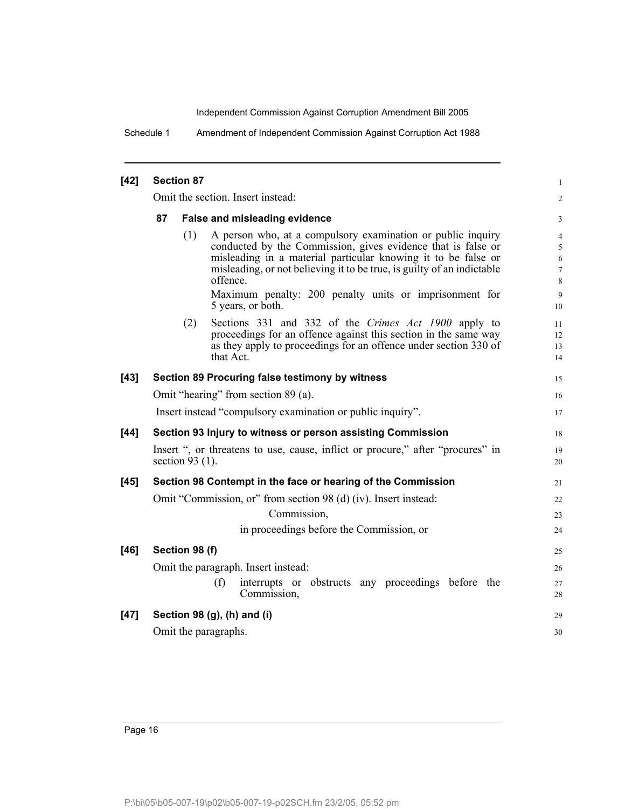Schedule 1 Amendment of Independent Commission Against Corruption Act 1988

### **[42] Section 87**

Omit the section. Insert instead:

### **87 False and misleading evidence**

(1) A person who, at a compulsory examination or public inquiry conducted by the Commission, gives evidence that is false or misleading in a material particular knowing it to be false or misleading, or not believing it to be true, is guilty of an indictable offence. Maximum penalty: 200 penalty units or imprisonment for 5 years, or both.

1 2

18 19 20

30

(2) Sections 331 and 332 of the *Crimes Act 1900* apply to proceedings for an offence against this section in the same way as they apply to proceedings for an offence under section 330 of that Act.

# **[43] Section 89 Procuring false testimony by witness** Omit "hearing" from section 89 (a). Insert instead "compulsory examination or public inquiry".

## **[44] Section 93 Injury to witness or person assisting Commission** Insert ", or threatens to use, cause, inflict or procure," after "procures" in section 93 (1).

# **[45] Section 98 Contempt in the face or hearing of the Commission** Omit "Commission, or" from section 98 (d) (iv). Insert instead: Commission,

in proceedings before the Commission, or

**[46] Section 98 (f)** Omit the paragraph. Insert instead: (f) interrupts or obstructs any proceedings before the Commission, **[47] Section 98 (g), (h) and (i)** 25 26 27 28 29

Omit the paragraphs.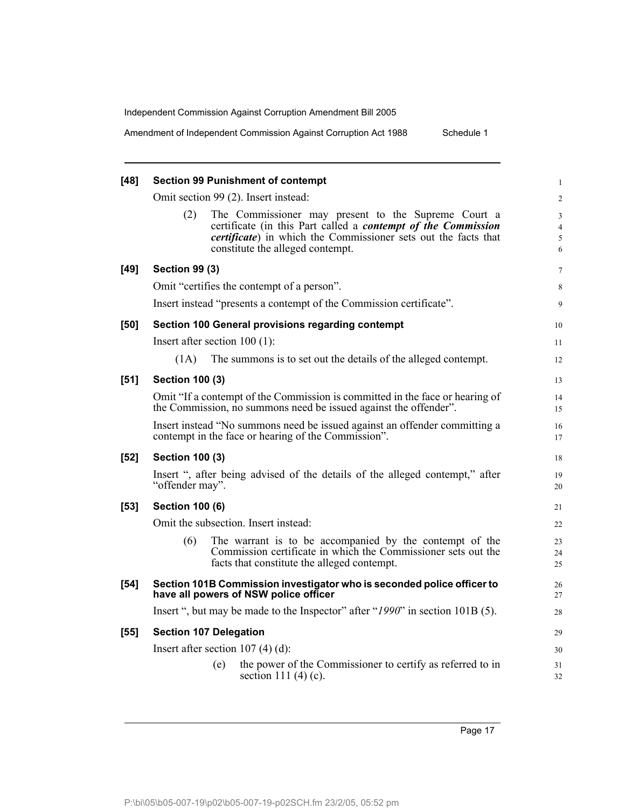Amendment of Independent Commission Against Corruption Act 1988 Schedule 1

| $[48]$ | <b>Section 99 Punishment of contempt</b>                                                                                                                                                                     | 1                                  |  |  |  |
|--------|--------------------------------------------------------------------------------------------------------------------------------------------------------------------------------------------------------------|------------------------------------|--|--|--|
|        | Omit section 99 (2). Insert instead:                                                                                                                                                                         | $\overline{\mathbf{c}}$            |  |  |  |
|        | (2)<br>The Commissioner may present to the Supreme Court a<br>certificate (in this Part called a <i>contempt of the Commission</i><br><i>certificate</i> ) in which the Commissioner sets out the facts that | 3<br>$\overline{\mathcal{L}}$<br>5 |  |  |  |
|        | constitute the alleged contempt.                                                                                                                                                                             | 6                                  |  |  |  |
| $[49]$ | <b>Section 99 (3)</b>                                                                                                                                                                                        | 7                                  |  |  |  |
|        | Omit "certifies the contempt of a person".                                                                                                                                                                   | 8                                  |  |  |  |
|        | Insert instead "presents a contempt of the Commission certificate".                                                                                                                                          | 9                                  |  |  |  |
| [50]   | Section 100 General provisions regarding contempt                                                                                                                                                            | 10                                 |  |  |  |
|        | Insert after section $100(1)$ :                                                                                                                                                                              | 11                                 |  |  |  |
|        | (1A)<br>The summons is to set out the details of the alleged contempt.                                                                                                                                       | 12                                 |  |  |  |
| $[51]$ | <b>Section 100 (3)</b>                                                                                                                                                                                       | 13                                 |  |  |  |
|        | Omit "If a contempt of the Commission is committed in the face or hearing of<br>the Commission, no summons need be issued against the offender".                                                             |                                    |  |  |  |
|        | Insert instead "No summons need be issued against an offender committing a<br>contempt in the face or hearing of the Commission".                                                                            | 16<br>17                           |  |  |  |
| $[52]$ | <b>Section 100 (3)</b>                                                                                                                                                                                       | 18                                 |  |  |  |
|        | Insert ", after being advised of the details of the alleged contempt," after<br>"offender may".                                                                                                              | 19<br>20                           |  |  |  |
| $[53]$ | <b>Section 100 (6)</b>                                                                                                                                                                                       | 21                                 |  |  |  |
|        | Omit the subsection. Insert instead:                                                                                                                                                                         | 22                                 |  |  |  |
|        | (6)<br>The warrant is to be accompanied by the contempt of the<br>Commission certificate in which the Commissioner sets out the<br>facts that constitute the alleged contempt.                               | 23<br>24<br>25                     |  |  |  |
| $[54]$ | Section 101B Commission investigator who is seconded police officer to<br>have all powers of NSW police officer                                                                                              | 26<br>27                           |  |  |  |
|        | Insert ", but may be made to the Inspector" after "1990" in section 101B (5).                                                                                                                                | 28                                 |  |  |  |
| $[55]$ | <b>Section 107 Delegation</b>                                                                                                                                                                                | 29                                 |  |  |  |
|        | Insert after section 107 (4) (d):                                                                                                                                                                            | 30                                 |  |  |  |
|        | the power of the Commissioner to certify as referred to in<br>(e)<br>section 111 $(4)$ $(c)$ .                                                                                                               | 31<br>32                           |  |  |  |
|        |                                                                                                                                                                                                              |                                    |  |  |  |

Page 17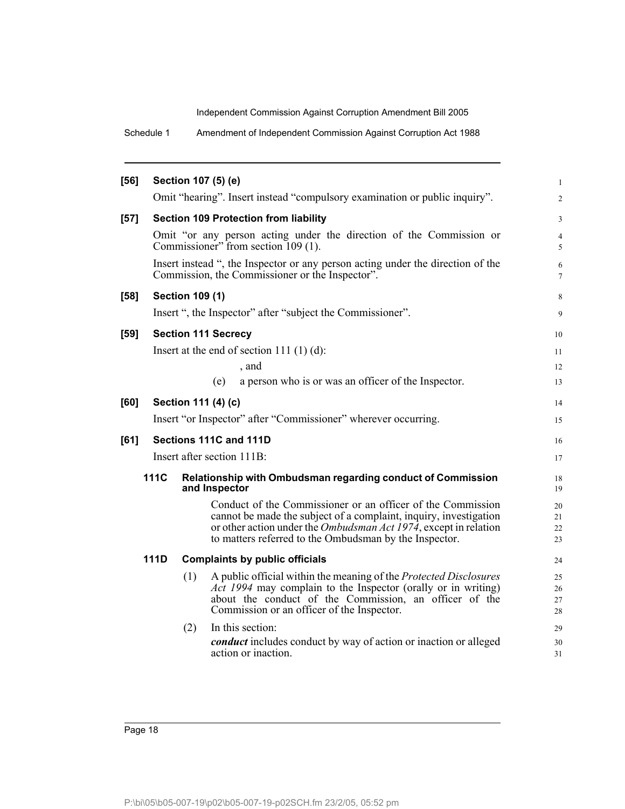Schedule 1 Amendment of Independent Commission Against Corruption Act 1988

| $[56]$ | Section 107 (5) (e) |                        |                                                                                                                                                                                                                                                                        |                      |  |
|--------|---------------------|------------------------|------------------------------------------------------------------------------------------------------------------------------------------------------------------------------------------------------------------------------------------------------------------------|----------------------|--|
|        |                     |                        | Omit "hearing". Insert instead "compulsory examination or public inquiry".                                                                                                                                                                                             | $\sqrt{2}$           |  |
| $[57]$ |                     |                        | <b>Section 109 Protection from liability</b>                                                                                                                                                                                                                           | 3                    |  |
|        |                     |                        | Omit "or any person acting under the direction of the Commission or<br>Commissioner" from section 109 (1).                                                                                                                                                             | 4<br>5               |  |
|        |                     |                        | Insert instead ", the Inspector or any person acting under the direction of the<br>Commission, the Commissioner or the Inspector".                                                                                                                                     | 6<br>$\tau$          |  |
| $[58]$ |                     | <b>Section 109 (1)</b> |                                                                                                                                                                                                                                                                        | 8                    |  |
|        |                     |                        | Insert ", the Inspector" after "subject the Commissioner".                                                                                                                                                                                                             | 9                    |  |
| $[59]$ |                     |                        | <b>Section 111 Secrecy</b>                                                                                                                                                                                                                                             | 10                   |  |
|        |                     |                        | Insert at the end of section 111 $(1)$ $(d)$ :                                                                                                                                                                                                                         | 11                   |  |
|        |                     |                        | , and                                                                                                                                                                                                                                                                  | 12                   |  |
|        |                     |                        | a person who is or was an officer of the Inspector.<br>(e)                                                                                                                                                                                                             | 13                   |  |
| [60]   |                     |                        | Section 111 (4) (c)                                                                                                                                                                                                                                                    | 14                   |  |
|        |                     |                        | Insert "or Inspector" after "Commissioner" wherever occurring.                                                                                                                                                                                                         | 15                   |  |
| [61]   |                     |                        | Sections 111C and 111D                                                                                                                                                                                                                                                 | 16                   |  |
|        |                     |                        | Insert after section 111B:                                                                                                                                                                                                                                             | 17                   |  |
|        | 111C                |                        | Relationship with Ombudsman regarding conduct of Commission<br>and Inspector                                                                                                                                                                                           | 18<br>19             |  |
|        |                     |                        | Conduct of the Commissioner or an officer of the Commission<br>cannot be made the subject of a complaint, inquiry, investigation<br>or other action under the <i>Ombudsman Act 1974</i> , except in relation<br>to matters referred to the Ombudsman by the Inspector. | 20<br>21<br>22<br>23 |  |
|        | <b>111D</b>         |                        | <b>Complaints by public officials</b>                                                                                                                                                                                                                                  | 24                   |  |
|        |                     | (1)                    | A public official within the meaning of the Protected Disclosures<br>Act 1994 may complain to the Inspector (orally or in writing)<br>about the conduct of the Commission, an officer of the<br>Commission or an officer of the Inspector.                             | 25<br>26<br>27<br>28 |  |
|        |                     | (2)                    | In this section:                                                                                                                                                                                                                                                       | 29                   |  |
|        |                     |                        | <i>conduct</i> includes conduct by way of action or inaction or alleged<br>action or inaction.                                                                                                                                                                         | 30<br>31             |  |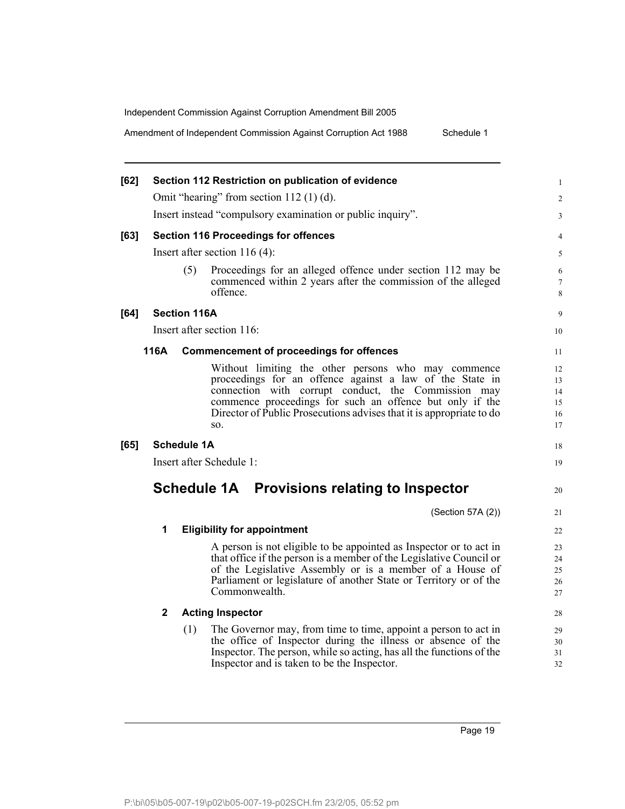Amendment of Independent Commission Against Corruption Act 1988 Schedule 1

|              |                                                                                                                                                                                                                                                                                                                   | 1                                                                                                                                                                                                                                                                                                                                                                                                                                                                                                                                                                                                                                                           |
|--------------|-------------------------------------------------------------------------------------------------------------------------------------------------------------------------------------------------------------------------------------------------------------------------------------------------------------------|-------------------------------------------------------------------------------------------------------------------------------------------------------------------------------------------------------------------------------------------------------------------------------------------------------------------------------------------------------------------------------------------------------------------------------------------------------------------------------------------------------------------------------------------------------------------------------------------------------------------------------------------------------------|
|              |                                                                                                                                                                                                                                                                                                                   | $\overline{c}$                                                                                                                                                                                                                                                                                                                                                                                                                                                                                                                                                                                                                                              |
|              |                                                                                                                                                                                                                                                                                                                   | 3                                                                                                                                                                                                                                                                                                                                                                                                                                                                                                                                                                                                                                                           |
|              |                                                                                                                                                                                                                                                                                                                   | 4                                                                                                                                                                                                                                                                                                                                                                                                                                                                                                                                                                                                                                                           |
|              |                                                                                                                                                                                                                                                                                                                   | 5                                                                                                                                                                                                                                                                                                                                                                                                                                                                                                                                                                                                                                                           |
| (5)          | commenced within 2 years after the commission of the alleged<br>offence.                                                                                                                                                                                                                                          | 6<br>7<br>8                                                                                                                                                                                                                                                                                                                                                                                                                                                                                                                                                                                                                                                 |
|              |                                                                                                                                                                                                                                                                                                                   | 9                                                                                                                                                                                                                                                                                                                                                                                                                                                                                                                                                                                                                                                           |
|              |                                                                                                                                                                                                                                                                                                                   | 10                                                                                                                                                                                                                                                                                                                                                                                                                                                                                                                                                                                                                                                          |
|              |                                                                                                                                                                                                                                                                                                                   | 11                                                                                                                                                                                                                                                                                                                                                                                                                                                                                                                                                                                                                                                          |
|              | Without limiting the other persons who may commence<br>proceedings for an offence against a law of the State in<br>connection with corrupt conduct, the Commission may<br>commence proceedings for such an offence but only if the<br>Director of Public Prosecutions advises that it is appropriate to do<br>SO. | 12<br>13<br>14<br>15<br>16<br>17                                                                                                                                                                                                                                                                                                                                                                                                                                                                                                                                                                                                                            |
|              |                                                                                                                                                                                                                                                                                                                   | 18                                                                                                                                                                                                                                                                                                                                                                                                                                                                                                                                                                                                                                                          |
|              |                                                                                                                                                                                                                                                                                                                   | 19                                                                                                                                                                                                                                                                                                                                                                                                                                                                                                                                                                                                                                                          |
|              |                                                                                                                                                                                                                                                                                                                   | 20                                                                                                                                                                                                                                                                                                                                                                                                                                                                                                                                                                                                                                                          |
|              | (Section 57A (2))                                                                                                                                                                                                                                                                                                 | 21                                                                                                                                                                                                                                                                                                                                                                                                                                                                                                                                                                                                                                                          |
| 1            |                                                                                                                                                                                                                                                                                                                   | 22                                                                                                                                                                                                                                                                                                                                                                                                                                                                                                                                                                                                                                                          |
|              | A person is not eligible to be appointed as Inspector or to act in<br>that office if the person is a member of the Legislative Council or<br>of the Legislative Assembly or is a member of a House of<br>Parliament or legislature of another State or Territory or of the<br>Commonwealth.                       | 23<br>24<br>25<br>26<br>27                                                                                                                                                                                                                                                                                                                                                                                                                                                                                                                                                                                                                                  |
| $\mathbf{2}$ |                                                                                                                                                                                                                                                                                                                   | 28                                                                                                                                                                                                                                                                                                                                                                                                                                                                                                                                                                                                                                                          |
| (1)          | the office of Inspector during the illness or absence of the<br>Inspector. The person, while so acting, has all the functions of the<br>Inspector and is taken to be the Inspector.                                                                                                                               | 29<br>30<br>31<br>32                                                                                                                                                                                                                                                                                                                                                                                                                                                                                                                                                                                                                                        |
|              | 116A                                                                                                                                                                                                                                                                                                              | Section 112 Restriction on publication of evidence<br>Omit "hearing" from section $112(1)(d)$ .<br>Insert instead "compulsory examination or public inquiry".<br><b>Section 116 Proceedings for offences</b><br>Insert after section $116(4)$ :<br>Proceedings for an alleged offence under section 112 may be<br><b>Section 116A</b><br>Insert after section 116:<br><b>Commencement of proceedings for offences</b><br><b>Schedule 1A</b><br>Insert after Schedule 1:<br>Schedule 1A Provisions relating to Inspector<br><b>Eligibility for appointment</b><br><b>Acting Inspector</b><br>The Governor may, from time to time, appoint a person to act in |

Page 19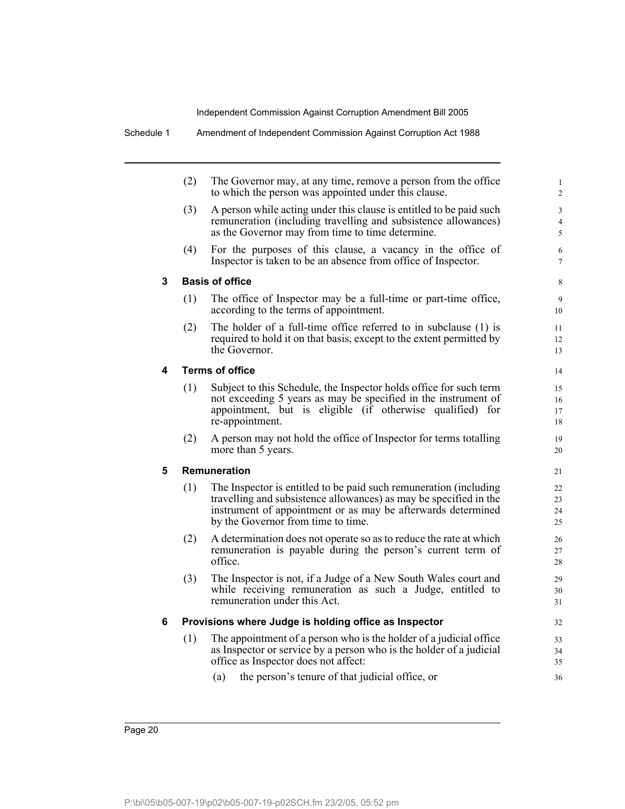|   | (2)<br>The Governor may, at any time, remove a person from the office<br>to which the person was appointed under this clause. |                                                                                                                                                                                                                                              | $\mathbf{1}$<br>$\overline{2}$ |
|---|-------------------------------------------------------------------------------------------------------------------------------|----------------------------------------------------------------------------------------------------------------------------------------------------------------------------------------------------------------------------------------------|--------------------------------|
|   | (3)                                                                                                                           | A person while acting under this clause is entitled to be paid such<br>remuneration (including travelling and subsistence allowances)<br>as the Governor may from time to time determine.                                                    | 3<br>$\overline{4}$<br>5       |
|   | (4)                                                                                                                           | For the purposes of this clause, a vacancy in the office of<br>Inspector is taken to be an absence from office of Inspector.                                                                                                                 | 6<br>$\tau$                    |
| 3 |                                                                                                                               | <b>Basis of office</b>                                                                                                                                                                                                                       | 8                              |
|   | (1)                                                                                                                           | The office of Inspector may be a full-time or part-time office,<br>according to the terms of appointment.                                                                                                                                    | 9<br>10                        |
|   | (2)                                                                                                                           | The holder of a full-time office referred to in subclause (1) is<br>required to hold it on that basis, except to the extent permitted by<br>the Governor.                                                                                    | 11<br>12<br>13                 |
| 4 |                                                                                                                               | <b>Terms of office</b>                                                                                                                                                                                                                       | 14                             |
|   | (1)                                                                                                                           | Subject to this Schedule, the Inspector holds office for such term<br>not exceeding 5 years as may be specified in the instrument of<br>appointment, but is eligible (if otherwise qualified) for<br>re-appointment.                         | 15<br>16<br>17<br>18           |
|   | (2)                                                                                                                           | A person may not hold the office of Inspector for terms totalling<br>more than 5 years.                                                                                                                                                      | 19<br>20                       |
| 5 |                                                                                                                               | <b>Remuneration</b>                                                                                                                                                                                                                          | 21                             |
|   | (1)                                                                                                                           | The Inspector is entitled to be paid such remuneration (including<br>travelling and subsistence allowances) as may be specified in the<br>instrument of appointment or as may be afterwards determined<br>by the Governor from time to time. | 22<br>23<br>24<br>25           |
|   | (2)                                                                                                                           | A determination does not operate so as to reduce the rate at which<br>remuneration is payable during the person's current term of<br>office.                                                                                                 | 26<br>27<br>28                 |
|   | (3)                                                                                                                           | The Inspector is not, if a Judge of a New South Wales court and<br>while receiving remuneration as such a Judge, entitled to<br>remuneration under this Act.                                                                                 | 29<br>30<br>31                 |
| 6 |                                                                                                                               | Provisions where Judge is holding office as Inspector                                                                                                                                                                                        | 32                             |
|   | (1)                                                                                                                           | The appointment of a person who is the holder of a judicial office<br>as Inspector or service by a person who is the holder of a judicial<br>office as Inspector does not affect:                                                            | 33<br>34<br>35                 |
|   |                                                                                                                               | the person's tenure of that judicial office, or<br>(a)                                                                                                                                                                                       | 36                             |
|   |                                                                                                                               |                                                                                                                                                                                                                                              |                                |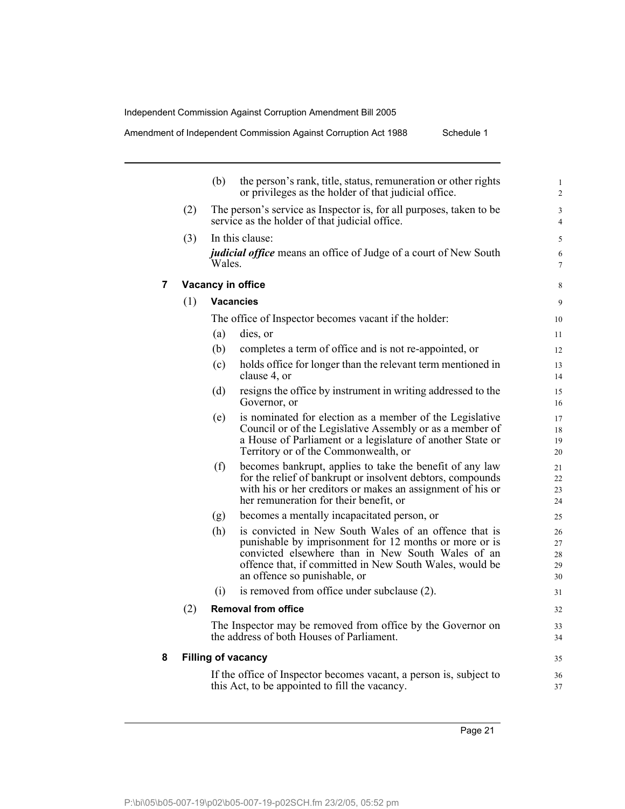Amendment of Independent Commission Against Corruption Act 1988 Schedule 1

|     | (b)    | the person's rank, title, status, remuneration or other rights<br>or privileges as the holder of that judicial office.                                                                                                                                          |
|-----|--------|-----------------------------------------------------------------------------------------------------------------------------------------------------------------------------------------------------------------------------------------------------------------|
| (2) |        | The person's service as Inspector is, for all purposes, taken to be<br>service as the holder of that judicial office.                                                                                                                                           |
| (3) | Wales. | In this clause:<br><i>judicial office</i> means an office of Judge of a court of New South                                                                                                                                                                      |
|     |        | Vacancy in office                                                                                                                                                                                                                                               |
| (1) |        | <b>Vacancies</b>                                                                                                                                                                                                                                                |
|     |        | The office of Inspector becomes vacant if the holder:                                                                                                                                                                                                           |
|     | (a)    | dies, or                                                                                                                                                                                                                                                        |
|     | (b)    | completes a term of office and is not re-appointed, or                                                                                                                                                                                                          |
|     | (c)    | holds office for longer than the relevant term mentioned in<br>clause 4, or                                                                                                                                                                                     |
|     | (d)    | resigns the office by instrument in writing addressed to the<br>Governor, or                                                                                                                                                                                    |
|     | (e)    | is nominated for election as a member of the Legislative<br>Council or of the Legislative Assembly or as a member of<br>a House of Parliament or a legislature of another State or<br>Territory or of the Commonwealth, or                                      |
|     | (f)    | becomes bankrupt, applies to take the benefit of any law<br>for the relief of bankrupt or insolvent debtors, compounds<br>with his or her creditors or makes an assignment of his or<br>her remuneration for their benefit, or                                  |
|     | (g)    | becomes a mentally incapacitated person, or                                                                                                                                                                                                                     |
|     | (h)    | is convicted in New South Wales of an offence that is<br>punishable by imprisonment for 12 months or more or is<br>convicted elsewhere than in New South Wales of an<br>offence that, if committed in New South Wales, would be<br>an offence so punishable, or |
|     | (i)    | is removed from office under subclause (2).                                                                                                                                                                                                                     |
| (2) |        | <b>Removal from office</b>                                                                                                                                                                                                                                      |
|     |        | The Inspector may be removed from office by the Governor on<br>the address of both Houses of Parliament.                                                                                                                                                        |
|     |        | <b>Filling of vacancy</b>                                                                                                                                                                                                                                       |
|     |        | If the office of Inspector becomes vacant, a person is, subject to<br>this Act, to be appointed to fill the vacancy.                                                                                                                                            |

Page 21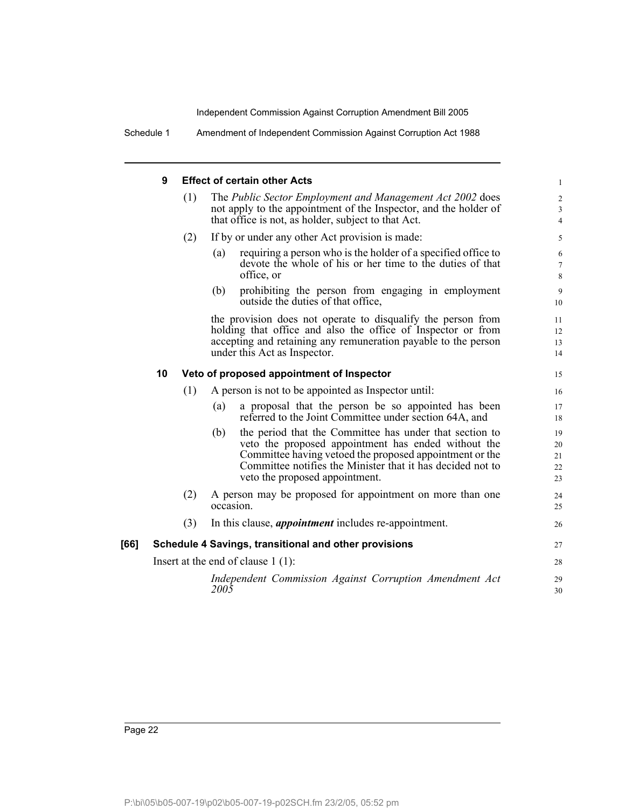Schedule 1 Amendment of Independent Commission Against Corruption Act 1988

### **9 Effect of certain other Acts**

|      | 9  |     | <b>Effect of certain other Acts</b>                                                                                                                                                                                                                                              | 1                          |
|------|----|-----|----------------------------------------------------------------------------------------------------------------------------------------------------------------------------------------------------------------------------------------------------------------------------------|----------------------------|
|      |    | (1) | The Public Sector Employment and Management Act 2002 does<br>not apply to the appointment of the Inspector, and the holder of<br>that office is not, as holder, subject to that Act.                                                                                             | $\overline{c}$<br>3<br>4   |
|      |    | (2) | If by or under any other Act provision is made:                                                                                                                                                                                                                                  | 5                          |
|      |    |     | requiring a person who is the holder of a specified office to<br>(a)<br>devote the whole of his or her time to the duties of that<br>office, or                                                                                                                                  | 6<br>7<br>8                |
|      |    |     | prohibiting the person from engaging in employment<br>(b)<br>outside the duties of that office.                                                                                                                                                                                  | 9<br>10                    |
|      |    |     | the provision does not operate to disqualify the person from<br>holding that office and also the office of Inspector or from<br>accepting and retaining any remuneration payable to the person<br>under this Act as Inspector.                                                   | 11<br>12<br>13<br>14       |
|      | 10 |     | Veto of proposed appointment of Inspector                                                                                                                                                                                                                                        | 15                         |
|      |    | (1) | A person is not to be appointed as Inspector until:                                                                                                                                                                                                                              | 16                         |
|      |    |     | a proposal that the person be so appointed has been<br>(a)<br>referred to the Joint Committee under section 64A, and                                                                                                                                                             | 17<br>18                   |
|      |    |     | the period that the Committee has under that section to<br>(b)<br>veto the proposed appointment has ended without the<br>Committee having vetoed the proposed appointment or the<br>Committee notifies the Minister that it has decided not to<br>veto the proposed appointment. | 19<br>20<br>21<br>22<br>23 |
|      |    | (2) | A person may be proposed for appointment on more than one<br>occasion.                                                                                                                                                                                                           | 24<br>25                   |
|      |    | (3) | In this clause, <i>appointment</i> includes re-appointment.                                                                                                                                                                                                                      | 26                         |
| [66] |    |     | Schedule 4 Savings, transitional and other provisions                                                                                                                                                                                                                            | 27                         |
|      |    |     | Insert at the end of clause $1(1)$ :                                                                                                                                                                                                                                             | 28                         |
|      |    |     | Independent Commission Against Corruption Amendment Act<br>2005                                                                                                                                                                                                                  | 29<br>30                   |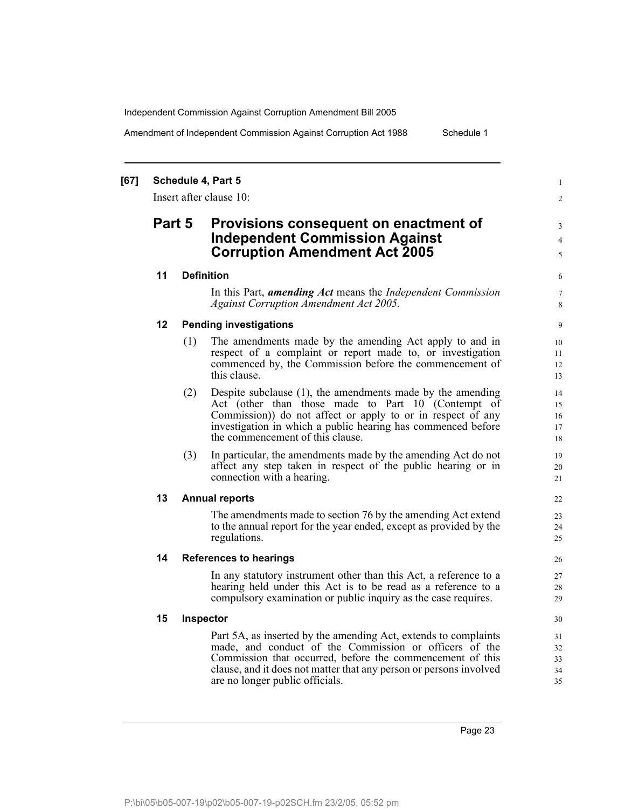Amendment of Independent Commission Against Corruption Act 1988 Schedule 1

### **[67] Schedule 4, Part 5**

Insert after clause 10:

# **Part 5 Provisions consequent on enactment of Independent Commission Against Corruption Amendment Act 2005**

### **11 Definition**

In this Part, *amending Act* means the *Independent Commission Against Corruption Amendment Act 2005.*

### **12 Pending investigations**

- (1) The amendments made by the amending Act apply to and in respect of a complaint or report made to, or investigation commenced by, the Commission before the commencement of this clause.
- (2) Despite subclause (1), the amendments made by the amending Act (other than those made to Part 10 (Contempt of Commission)) do not affect or apply to or in respect of any investigation in which a public hearing has commenced before the commencement of this clause.
- (3) In particular, the amendments made by the amending Act do not affect any step taken in respect of the public hearing or in connection with a hearing.

### **13 Annual reports**

The amendments made to section 76 by the amending Act extend to the annual report for the year ended, except as provided by the regulations.

### **14 References to hearings**

In any statutory instrument other than this Act, a reference to a hearing held under this Act is to be read as a reference to a compulsory examination or public inquiry as the case requires.

### **15 Inspector**

Part 5A, as inserted by the amending Act, extends to complaints made, and conduct of the Commission or officers of the Commission that occurred, before the commencement of this clause, and it does not matter that any person or persons involved are no longer public officials.

1  $\mathfrak{D}$ 

3 4 5

Page 23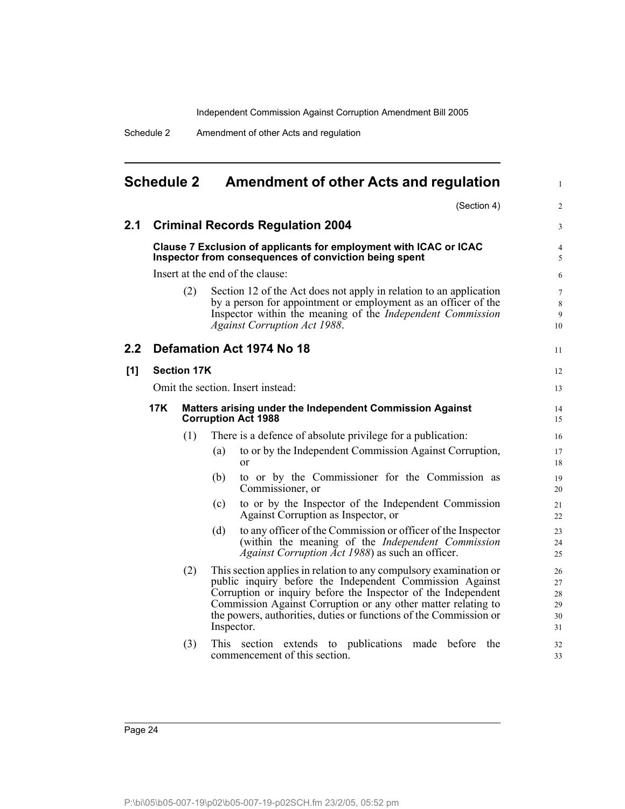Schedule 2 Amendment of other Acts and regulation

| <b>Schedule 2</b> |     |                    | <b>Amendment of other Acts and regulation</b>                                                                                                                                                                                                                                                                                                      | 1                                |  |
|-------------------|-----|--------------------|----------------------------------------------------------------------------------------------------------------------------------------------------------------------------------------------------------------------------------------------------------------------------------------------------------------------------------------------------|----------------------------------|--|
|                   |     |                    | (Section 4)                                                                                                                                                                                                                                                                                                                                        | $\overline{2}$                   |  |
| 2.1               |     |                    | <b>Criminal Records Regulation 2004</b>                                                                                                                                                                                                                                                                                                            | 3                                |  |
|                   |     |                    | Clause 7 Exclusion of applicants for employment with ICAC or ICAC<br>Inspector from consequences of conviction being spent                                                                                                                                                                                                                         | 4<br>5                           |  |
|                   |     |                    | Insert at the end of the clause:                                                                                                                                                                                                                                                                                                                   | 6                                |  |
|                   |     | (2)                | Section 12 of the Act does not apply in relation to an application<br>by a person for appointment or employment as an officer of the<br>Inspector within the meaning of the <i>Independent Commission</i><br><b>Against Corruption Act 1988.</b>                                                                                                   | $\overline{7}$<br>8<br>9<br>10   |  |
| 2.2               |     |                    | Defamation Act 1974 No 18                                                                                                                                                                                                                                                                                                                          | 11                               |  |
| [1]               |     | <b>Section 17K</b> |                                                                                                                                                                                                                                                                                                                                                    | 12                               |  |
|                   |     |                    | Omit the section. Insert instead:                                                                                                                                                                                                                                                                                                                  | 13                               |  |
|                   | 17K |                    | Matters arising under the Independent Commission Against<br><b>Corruption Act 1988</b>                                                                                                                                                                                                                                                             |                                  |  |
|                   |     | (1)                | There is a defence of absolute privilege for a publication:                                                                                                                                                                                                                                                                                        | 16                               |  |
|                   |     |                    | to or by the Independent Commission Against Corruption,<br>(a)<br><sub>or</sub>                                                                                                                                                                                                                                                                    | 17<br>18                         |  |
|                   |     |                    | to or by the Commissioner for the Commission as<br>(b)<br>Commissioner, or                                                                                                                                                                                                                                                                         | 19<br>20                         |  |
|                   |     |                    | to or by the Inspector of the Independent Commission<br>(c)<br>Against Corruption as Inspector, or                                                                                                                                                                                                                                                 | 21<br>22                         |  |
|                   |     |                    | to any officer of the Commission or officer of the Inspector<br>(d)<br>(within the meaning of the Independent Commission<br>Against Corruption Act 1988) as such an officer.                                                                                                                                                                       | 23<br>24<br>25                   |  |
|                   |     | (2)                | This section applies in relation to any compulsory examination or<br>public inquiry before the Independent Commission Against<br>Corruption or inquiry before the Inspector of the Independent<br>Commission Against Corruption or any other matter relating to<br>the powers, authorities, duties or functions of the Commission or<br>Inspector. | 26<br>27<br>28<br>29<br>30<br>31 |  |
|                   |     | (3)                | This section extends to publications made before<br>the<br>commencement of this section.                                                                                                                                                                                                                                                           | 32<br>33                         |  |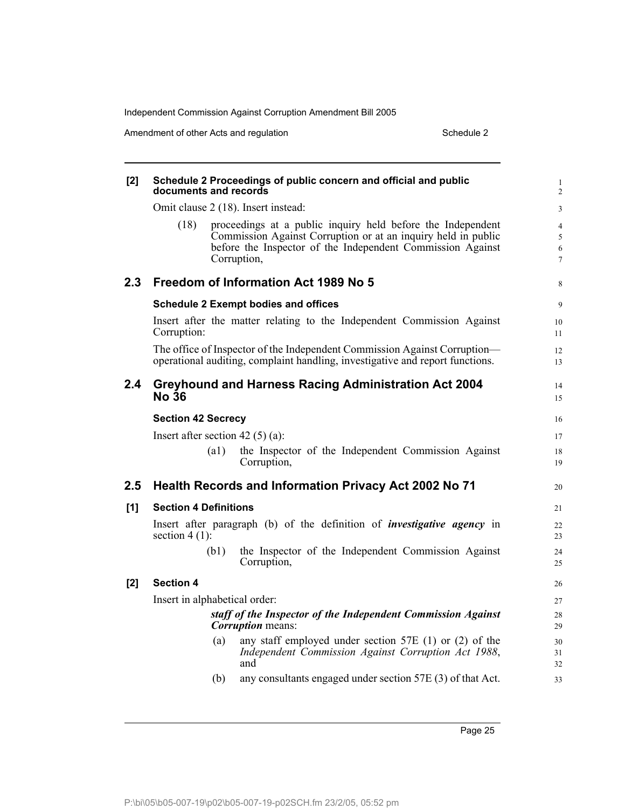Amendment of other Acts and regulation Schedule 2

| [2]              | Schedule 2 Proceedings of public concern and official and public<br>documents and records |                                                                                                                                                                                                           |                                    |  |  |
|------------------|-------------------------------------------------------------------------------------------|-----------------------------------------------------------------------------------------------------------------------------------------------------------------------------------------------------------|------------------------------------|--|--|
|                  |                                                                                           | Omit clause 2 (18). Insert instead:                                                                                                                                                                       | 3                                  |  |  |
|                  | (18)                                                                                      | proceedings at a public inquiry held before the Independent<br>Commission Against Corruption or at an inquiry held in public<br>before the Inspector of the Independent Commission Against<br>Corruption, | $\overline{4}$<br>5<br>6<br>$\tau$ |  |  |
| 2.3 <sub>2</sub> |                                                                                           | Freedom of Information Act 1989 No 5                                                                                                                                                                      | 8                                  |  |  |
|                  |                                                                                           | <b>Schedule 2 Exempt bodies and offices</b>                                                                                                                                                               | 9                                  |  |  |
|                  | Corruption:                                                                               | Insert after the matter relating to the Independent Commission Against                                                                                                                                    | 10<br>11                           |  |  |
|                  |                                                                                           | The office of Inspector of the Independent Commission Against Corruption—<br>operational auditing, complaint handling, investigative and report functions.                                                | 12<br>13                           |  |  |
| 2.4              | <b>No 36</b>                                                                              | <b>Greyhound and Harness Racing Administration Act 2004</b>                                                                                                                                               | 14<br>15                           |  |  |
|                  | <b>Section 42 Secrecy</b>                                                                 |                                                                                                                                                                                                           | 16                                 |  |  |
|                  | Insert after section 42 $(5)$ (a):                                                        |                                                                                                                                                                                                           | 17                                 |  |  |
|                  | $\left( a1\right)$                                                                        | the Inspector of the Independent Commission Against<br>Corruption,                                                                                                                                        | 18<br>19                           |  |  |
| 2.5              |                                                                                           | Health Records and Information Privacy Act 2002 No 71                                                                                                                                                     | 20                                 |  |  |
| [1]              | <b>Section 4 Definitions</b>                                                              |                                                                                                                                                                                                           | 21                                 |  |  |
|                  | section $4(1)$ :                                                                          | Insert after paragraph (b) of the definition of <i>investigative agency</i> in                                                                                                                            | 22<br>23                           |  |  |
|                  | (b1)                                                                                      | the Inspector of the Independent Commission Against<br>Corruption,                                                                                                                                        | 24<br>25                           |  |  |
| [2]              | <b>Section 4</b>                                                                          |                                                                                                                                                                                                           | 26                                 |  |  |
|                  | Insert in alphabetical order:                                                             |                                                                                                                                                                                                           | 27                                 |  |  |
|                  |                                                                                           | staff of the Inspector of the Independent Commission Against<br><i>Corruption</i> means:                                                                                                                  | 28<br>29                           |  |  |
|                  | (a)                                                                                       | any staff employed under section 57E $(1)$ or $(2)$ of the<br>Independent Commission Against Corruption Act 1988,<br>and                                                                                  | 30<br>31<br>32                     |  |  |
|                  | (b)                                                                                       | any consultants engaged under section 57E (3) of that Act.                                                                                                                                                | 33                                 |  |  |
|                  |                                                                                           |                                                                                                                                                                                                           |                                    |  |  |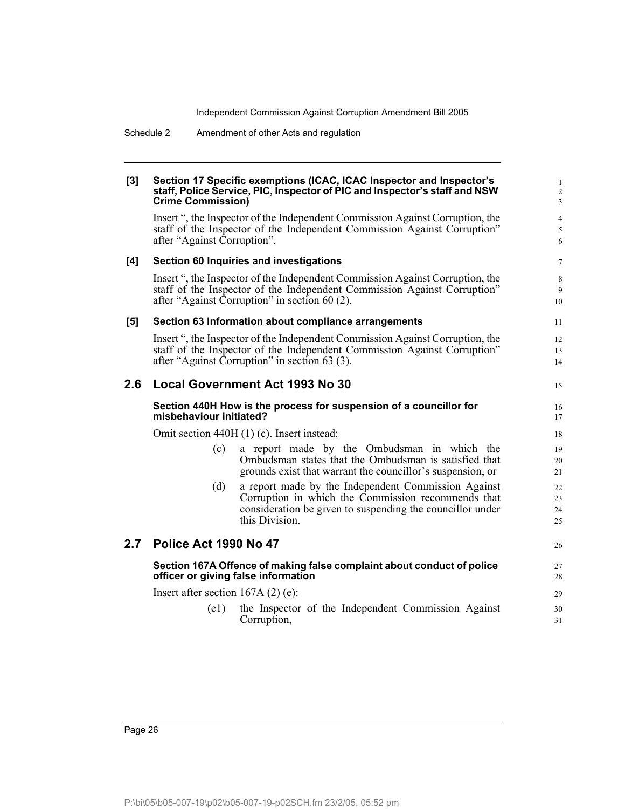Schedule 2 Amendment of other Acts and regulation

### **[3] Section 17 Specific exemptions (ICAC, ICAC Inspector and Inspector's staff, Police Service, PIC, Inspector of PIC and Inspector's staff and NSW Crime Commission)**

Insert ", the Inspector of the Independent Commission Against Corruption, the staff of the Inspector of the Independent Commission Against Corruption" after "Against Corruption".

15

### **[4] Section 60 Inquiries and investigations**

Insert ", the Inspector of the Independent Commission Against Corruption, the staff of the Inspector of the Independent Commission Against Corruption" after "Against Corruption" in section 60 (2).

### **[5] Section 63 Information about compliance arrangements**

Insert ", the Inspector of the Independent Commission Against Corruption, the staff of the Inspector of the Independent Commission Against Corruption" after "Against Corruption" in section 63 (3).

### **2.6 Local Government Act 1993 No 30**

#### **Section 440H How is the process for suspension of a councillor for misbehaviour initiated?**

Omit section 440H (1) (c). Insert instead:

- (c) a report made by the Ombudsman in which the Ombudsman states that the Ombudsman is satisfied that grounds exist that warrant the councillor's suspension, or
- (d) a report made by the Independent Commission Against Corruption in which the Commission recommends that consideration be given to suspending the councillor under this Division.

### **2.7 Police Act 1990 No 47**

**Section 167A Offence of making false complaint about conduct of police officer or giving false information**

Insert after section 167A (2) (e):

(e1) the Inspector of the Independent Commission Against Corruption,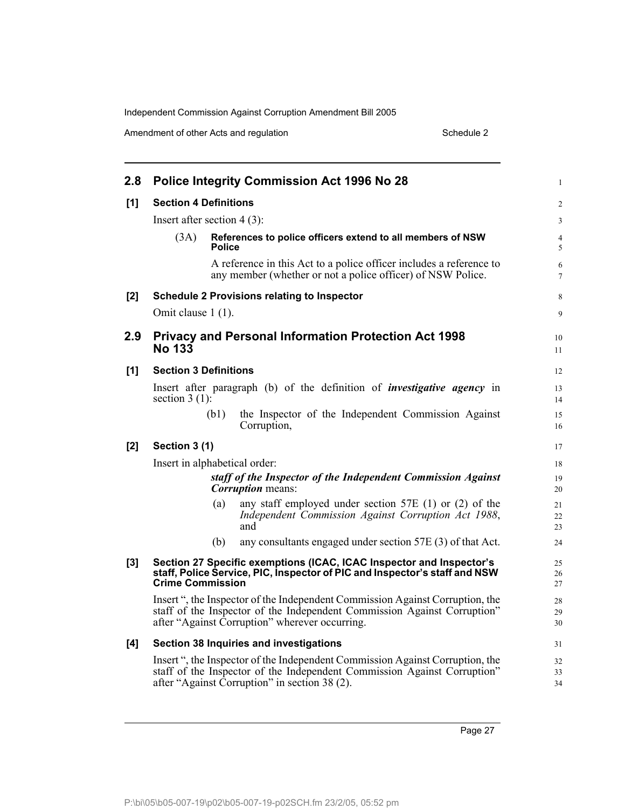Amendment of other Acts and regulation Schedule 2

| 2.8   | <b>Police Integrity Commission Act 1996 No 28</b> |               |                                                                                                                                                                                                             |                     |  |
|-------|---------------------------------------------------|---------------|-------------------------------------------------------------------------------------------------------------------------------------------------------------------------------------------------------------|---------------------|--|
| [1]   | <b>Section 4 Definitions</b>                      |               |                                                                                                                                                                                                             |                     |  |
|       | Insert after section $4(3)$ :                     |               |                                                                                                                                                                                                             | 3                   |  |
|       | (3A)                                              | <b>Police</b> | References to police officers extend to all members of NSW                                                                                                                                                  | $\overline{4}$<br>5 |  |
|       |                                                   |               | A reference in this Act to a police officer includes a reference to<br>any member (whether or not a police officer) of NSW Police.                                                                          | 6<br>$\overline{7}$ |  |
| $[2]$ |                                                   |               | <b>Schedule 2 Provisions relating to Inspector</b>                                                                                                                                                          | 8                   |  |
|       | Omit clause 1 (1).                                |               |                                                                                                                                                                                                             | 9                   |  |
| 2.9   | <b>No 133</b>                                     |               | <b>Privacy and Personal Information Protection Act 1998</b>                                                                                                                                                 | 10<br>11            |  |
| [1]   | <b>Section 3 Definitions</b>                      |               |                                                                                                                                                                                                             | 12                  |  |
|       | section $3(1)$ :                                  |               | Insert after paragraph (b) of the definition of <i>investigative agency</i> in                                                                                                                              | 13<br>14            |  |
|       |                                                   | (b1)          | the Inspector of the Independent Commission Against<br>Corruption,                                                                                                                                          | 15<br>16            |  |
| [2]   | Section 3 (1)                                     |               |                                                                                                                                                                                                             | 17                  |  |
|       | Insert in alphabetical order:                     |               |                                                                                                                                                                                                             | 18                  |  |
|       |                                                   |               | staff of the Inspector of the Independent Commission Against<br><b>Corruption</b> means:                                                                                                                    | 19<br>20            |  |
|       |                                                   | (a)           | any staff employed under section 57E $(1)$ or $(2)$ of the<br>Independent Commission Against Corruption Act 1988,<br>and                                                                                    | 21<br>22<br>23      |  |
|       |                                                   | (b)           | any consultants engaged under section 57E (3) of that Act.                                                                                                                                                  | 24                  |  |
| [3]   | <b>Crime Commission</b>                           |               | Section 27 Specific exemptions (ICAC, ICAC Inspector and Inspector's<br>staff, Police Service, PIC, Inspector of PIC and Inspector's staff and NSW                                                          | 25<br>26<br>27      |  |
|       |                                                   |               | Insert ", the Inspector of the Independent Commission Against Corruption, the<br>staff of the Inspector of the Independent Commission Against Corruption"<br>after "Against Corruption" wherever occurring. | 28<br>29<br>30      |  |
| [4]   |                                                   |               | Section 38 Inquiries and investigations                                                                                                                                                                     | 31                  |  |
|       |                                                   |               | Insert ", the Inspector of the Independent Commission Against Corruption, the<br>staff of the Inspector of the Independent Commission Against Corruption"<br>after "Against Corruption" in section 38 (2).  | 32<br>33<br>34      |  |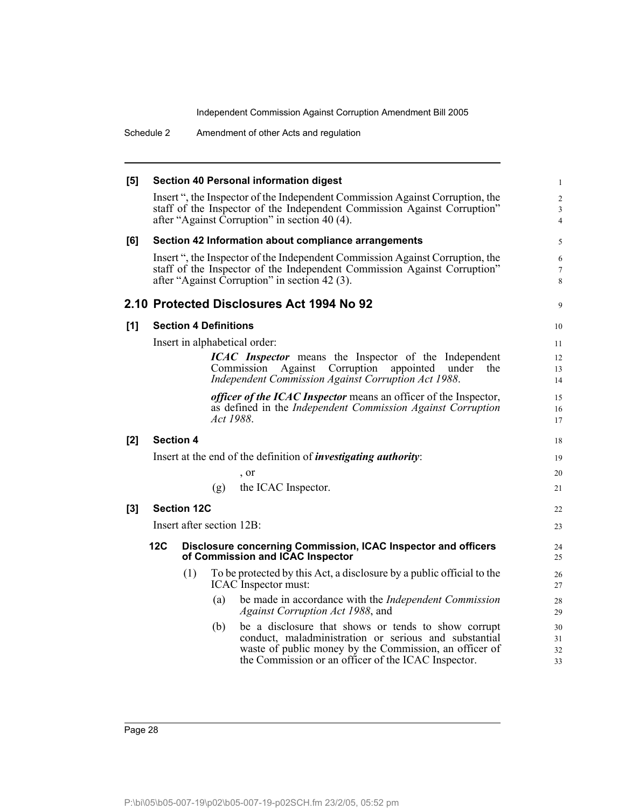Schedule 2 Amendment of other Acts and regulation

| [5]   |     | <b>Section 40 Personal information digest</b> |                                                                                                                                                                                                            |                                       |  |
|-------|-----|-----------------------------------------------|------------------------------------------------------------------------------------------------------------------------------------------------------------------------------------------------------------|---------------------------------------|--|
|       |     |                                               | Insert ", the Inspector of the Independent Commission Against Corruption, the<br>staff of the Inspector of the Independent Commission Against Corruption"<br>after "Against Corruption" in section 40 (4). | $\overline{c}$<br>3<br>$\overline{4}$ |  |
| [6]   |     |                                               | Section 42 Information about compliance arrangements                                                                                                                                                       | 5                                     |  |
|       |     |                                               | Insert ", the Inspector of the Independent Commission Against Corruption, the<br>staff of the Inspector of the Independent Commission Against Corruption"<br>after "Against Corruption" in section 42 (3). | 6<br>7<br>8                           |  |
|       |     |                                               | 2.10 Protected Disclosures Act 1994 No 92                                                                                                                                                                  | 9                                     |  |
| [1]   |     |                                               | <b>Section 4 Definitions</b>                                                                                                                                                                               | 10                                    |  |
|       |     |                                               | Insert in alphabetical order:                                                                                                                                                                              | 11                                    |  |
|       |     |                                               | <b>ICAC</b> Inspector means the Inspector of the Independent                                                                                                                                               | 12                                    |  |
|       |     |                                               | Commission<br>Corruption<br>Against<br>appointed<br>Independent Commission Against Corruption Act 1988.                                                                                                    | under<br>the<br>13<br>14              |  |
|       |     |                                               | <i>officer of the ICAC Inspector</i> means an officer of the Inspector,                                                                                                                                    | 15                                    |  |
|       |     |                                               | as defined in the Independent Commission Against Corruption                                                                                                                                                | 16                                    |  |
|       |     |                                               | Act 1988.                                                                                                                                                                                                  | 17                                    |  |
| [2]   |     | <b>Section 4</b>                              |                                                                                                                                                                                                            | 18                                    |  |
|       |     |                                               | Insert at the end of the definition of <i>investigating authority</i> :                                                                                                                                    | 19                                    |  |
|       |     |                                               | , or                                                                                                                                                                                                       | 20                                    |  |
|       |     |                                               | the ICAC Inspector.<br>(g)                                                                                                                                                                                 | 21                                    |  |
| $[3]$ |     | <b>Section 12C</b>                            |                                                                                                                                                                                                            | 22                                    |  |
|       |     |                                               | Insert after section 12B:                                                                                                                                                                                  | 23                                    |  |
|       | 12C |                                               | Disclosure concerning Commission, ICAC Inspector and officers<br>of Commission and ICAC Inspector                                                                                                          | 24<br>25                              |  |
|       |     | (1)                                           | To be protected by this Act, a disclosure by a public official to the<br>ICAC Inspector must:                                                                                                              | 26<br>27                              |  |
|       |     |                                               | be made in accordance with the <i>Independent Commission</i><br>(a)<br>Against Corruption Act 1988, and                                                                                                    | 28<br>29                              |  |
|       |     |                                               | be a disclosure that shows or tends to show corrupt<br>(b)                                                                                                                                                 | 30                                    |  |
|       |     |                                               | conduct, maladministration or serious and substantial<br>waste of public money by the Commission, an officer of                                                                                            | 31<br>32                              |  |
|       |     |                                               | the Commission or an officer of the ICAC Inspector.                                                                                                                                                        | 33                                    |  |
|       |     |                                               |                                                                                                                                                                                                            |                                       |  |